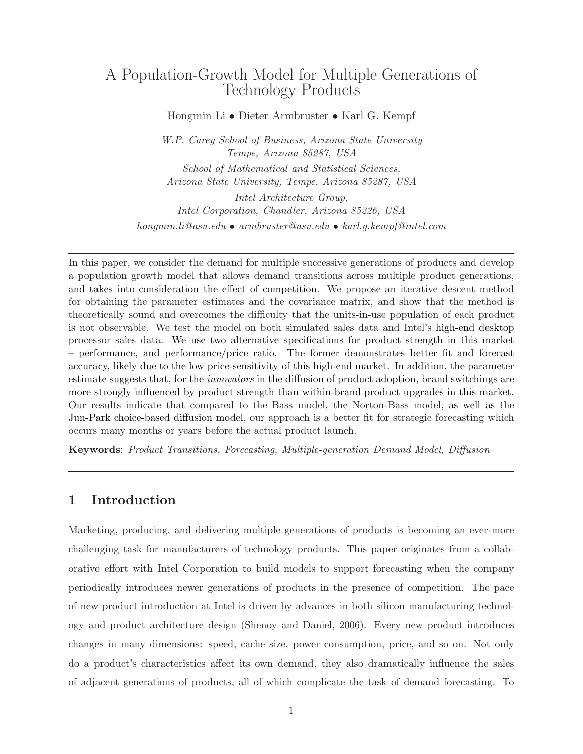# A Population-Growth Model for Multiple Generations of Technology Products

Hongmin Li • Dieter Armbruster • Karl G. Kempf

*W.P. Carey School of Business, Arizona State University Tempe, Arizona 85287, USA*

*School of Mathematical and Statistical Sciences, Arizona State University, Tempe, Arizona 85287, USA*

*Intel Architecture Group, Intel Corporation, Chandler, Arizona 85226, USA hongmin.li@asu.edu* • *armbruster@asu.edu* • *karl.g.kempf@intel.com*

In this paper, we consider the demand for multiple successive generations of products and develop a population growth model that allows demand transitions across multiple product generations, and takes into consideration the effect of competition. We propose an iterative descent method for obtaining the parameter estimates and the covariance matrix, and show that the method is theoretically sound and overcomes the difficulty that the units-in-use population of each product is not observable. We test the model on both simulated sales data and Intel's high-end desktop processor sales data. We use two alternative specifications for product strength in this market – performance, and performance/price ratio. The former demonstrates better fit and forecast accuracy, likely due to the low price-sensitivity of this high-end market. In addition, the parameter estimate suggests that, for the *innovators* in the diffusion of product adoption, brand switchings are more strongly influenced by product strength than within-brand product upgrades in this market. Our results indicate that compared to the Bass model, the Norton-Bass model, as well as the Jun-Park choice-based diffusion model, our approach is a better fit for strategic forecasting which occurs many months or years before the actual product launch.

**Keywords**: *Product Transitions, Forecasting, Multiple-generation Demand Model, Diffusion*

# **1 Introduction**

Marketing, producing, and delivering multiple generations of products is becoming an ever-more challenging task for manufacturers of technology products. This paper originates from a collaborative effort with Intel Corporation to build models to support forecasting when the company periodically introduces newer generations of products in the presence of competition. The pace of new product introduction at Intel is driven by advances in both silicon manufacturing technology and product architecture design (Shenoy and Daniel, 2006). Every new product introduces changes in many dimensions: speed, cache size, power consumption, price, and so on. Not only do a product's characteristics affect its own demand, they also dramatically influence the sales of adjacent generations of products, all of which complicate the task of demand forecasting. To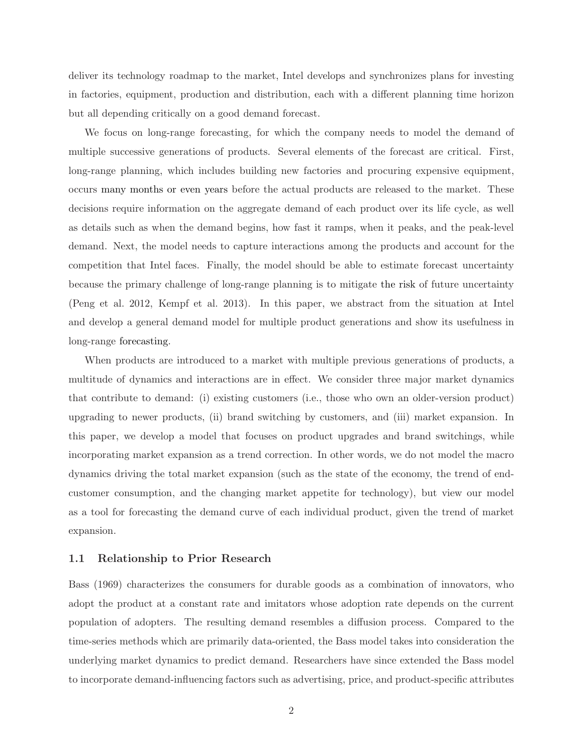deliver its technology roadmap to the market, Intel develops and synchronizes plans for investing in factories, equipment, production and distribution, each with a different planning time horizon but all depending critically on a good demand forecast.

We focus on long-range forecasting, for which the company needs to model the demand of multiple successive generations of products. Several elements of the forecast are critical. First, long-range planning, which includes building new factories and procuring expensive equipment, occurs many months or even years before the actual products are released to the market. These decisions require information on the aggregate demand of each product over its life cycle, as well as details such as when the demand begins, how fast it ramps, when it peaks, and the peak-level demand. Next, the model needs to capture interactions among the products and account for the competition that Intel faces. Finally, the model should be able to estimate forecast uncertainty because the primary challenge of long-range planning is to mitigate the risk of future uncertainty (Peng et al. 2012, Kempf et al. 2013). In this paper, we abstract from the situation at Intel and develop a general demand model for multiple product generations and show its usefulness in long-range forecasting.

When products are introduced to a market with multiple previous generations of products, a multitude of dynamics and interactions are in effect. We consider three major market dynamics that contribute to demand: (i) existing customers (i.e., those who own an older-version product) upgrading to newer products, (ii) brand switching by customers, and (iii) market expansion. In this paper, we develop a model that focuses on product upgrades and brand switchings, while incorporating market expansion as a trend correction. In other words, we do not model the macro dynamics driving the total market expansion (such as the state of the economy, the trend of endcustomer consumption, and the changing market appetite for technology), but view our model as a tool for forecasting the demand curve of each individual product, given the trend of market expansion.

## **1.1 Relationship to Prior Research**

Bass (1969) characterizes the consumers for durable goods as a combination of innovators, who adopt the product at a constant rate and imitators whose adoption rate depends on the current population of adopters. The resulting demand resembles a diffusion process. Compared to the time-series methods which are primarily data-oriented, the Bass model takes into consideration the underlying market dynamics to predict demand. Researchers have since extended the Bass model to incorporate demand-influencing factors such as advertising, price, and product-specific attributes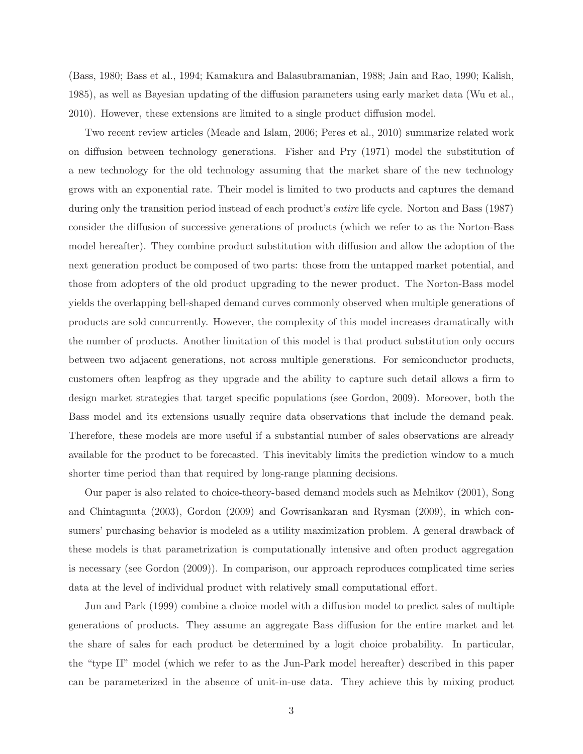(Bass, 1980; Bass et al., 1994; Kamakura and Balasubramanian, 1988; Jain and Rao, 1990; Kalish, 1985), as well as Bayesian updating of the diffusion parameters using early market data (Wu et al., 2010). However, these extensions are limited to a single product diffusion model.

Two recent review articles (Meade and Islam, 2006; Peres et al., 2010) summarize related work on diffusion between technology generations. Fisher and Pry (1971) model the substitution of a new technology for the old technology assuming that the market share of the new technology grows with an exponential rate. Their model is limited to two products and captures the demand during only the transition period instead of each product's *entire* life cycle. Norton and Bass (1987) consider the diffusion of successive generations of products (which we refer to as the Norton-Bass model hereafter). They combine product substitution with diffusion and allow the adoption of the next generation product be composed of two parts: those from the untapped market potential, and those from adopters of the old product upgrading to the newer product. The Norton-Bass model yields the overlapping bell-shaped demand curves commonly observed when multiple generations of products are sold concurrently. However, the complexity of this model increases dramatically with the number of products. Another limitation of this model is that product substitution only occurs between two adjacent generations, not across multiple generations. For semiconductor products, customers often leapfrog as they upgrade and the ability to capture such detail allows a firm to design market strategies that target specific populations (see Gordon, 2009). Moreover, both the Bass model and its extensions usually require data observations that include the demand peak. Therefore, these models are more useful if a substantial number of sales observations are already available for the product to be forecasted. This inevitably limits the prediction window to a much shorter time period than that required by long-range planning decisions.

Our paper is also related to choice-theory-based demand models such as Melnikov (2001), Song and Chintagunta (2003), Gordon (2009) and Gowrisankaran and Rysman (2009), in which consumers' purchasing behavior is modeled as a utility maximization problem. A general drawback of these models is that parametrization is computationally intensive and often product aggregation is necessary (see Gordon (2009)). In comparison, our approach reproduces complicated time series data at the level of individual product with relatively small computational effort.

Jun and Park (1999) combine a choice model with a diffusion model to predict sales of multiple generations of products. They assume an aggregate Bass diffusion for the entire market and let the share of sales for each product be determined by a logit choice probability. In particular, the "type II" model (which we refer to as the Jun-Park model hereafter) described in this paper can be parameterized in the absence of unit-in-use data. They achieve this by mixing product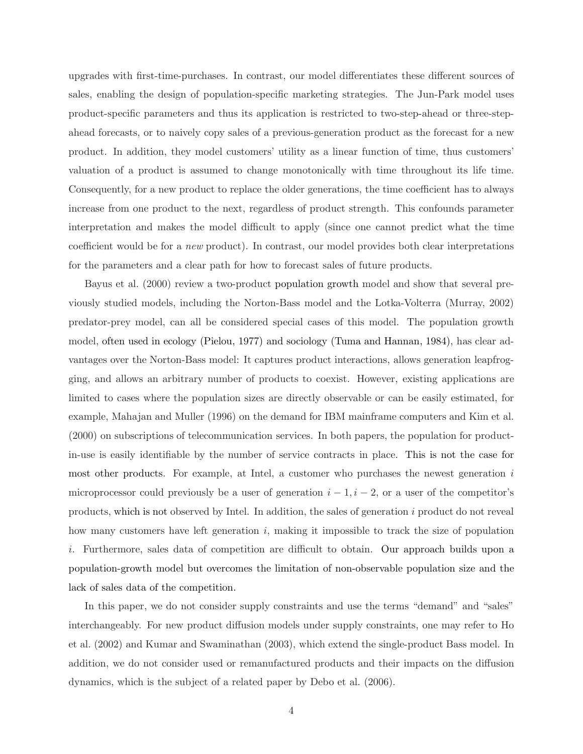upgrades with first-time-purchases. In contrast, our model differentiates these different sources of sales, enabling the design of population-specific marketing strategies. The Jun-Park model uses product-specific parameters and thus its application is restricted to two-step-ahead or three-stepahead forecasts, or to naively copy sales of a previous-generation product as the forecast for a new product. In addition, they model customers' utility as a linear function of time, thus customers' valuation of a product is assumed to change monotonically with time throughout its life time. Consequently, for a new product to replace the older generations, the time coefficient has to always increase from one product to the next, regardless of product strength. This confounds parameter interpretation and makes the model difficult to apply (since one cannot predict what the time coefficient would be for a *new* product). In contrast, our model provides both clear interpretations for the parameters and a clear path for how to forecast sales of future products.

Bayus et al. (2000) review a two-product population growth model and show that several previously studied models, including the Norton-Bass model and the Lotka-Volterra (Murray, 2002) predator-prey model, can all be considered special cases of this model. The population growth model, often used in ecology (Pielou, 1977) and sociology (Tuma and Hannan, 1984), has clear advantages over the Norton-Bass model: It captures product interactions, allows generation leapfrogging, and allows an arbitrary number of products to coexist. However, existing applications are limited to cases where the population sizes are directly observable or can be easily estimated, for example, Mahajan and Muller (1996) on the demand for IBM mainframe computers and Kim et al. (2000) on subscriptions of telecommunication services. In both papers, the population for productin-use is easily identifiable by the number of service contracts in place. This is not the case for most other products. For example, at Intel, a customer who purchases the newest generation  $i$ microprocessor could previously be a user of generation  $i - 1$ ,  $i - 2$ , or a user of the competitor's products, which is not observed by Intel. In addition, the sales of generation i product do not reveal how many customers have left generation i, making it impossible to track the size of population i. Furthermore, sales data of competition are difficult to obtain. Our approach builds upon a population-growth model but overcomes the limitation of non-observable population size and the lack of sales data of the competition.

In this paper, we do not consider supply constraints and use the terms "demand" and "sales" interchangeably. For new product diffusion models under supply constraints, one may refer to Ho et al. (2002) and Kumar and Swaminathan (2003), which extend the single-product Bass model. In addition, we do not consider used or remanufactured products and their impacts on the diffusion dynamics, which is the subject of a related paper by Debo et al. (2006).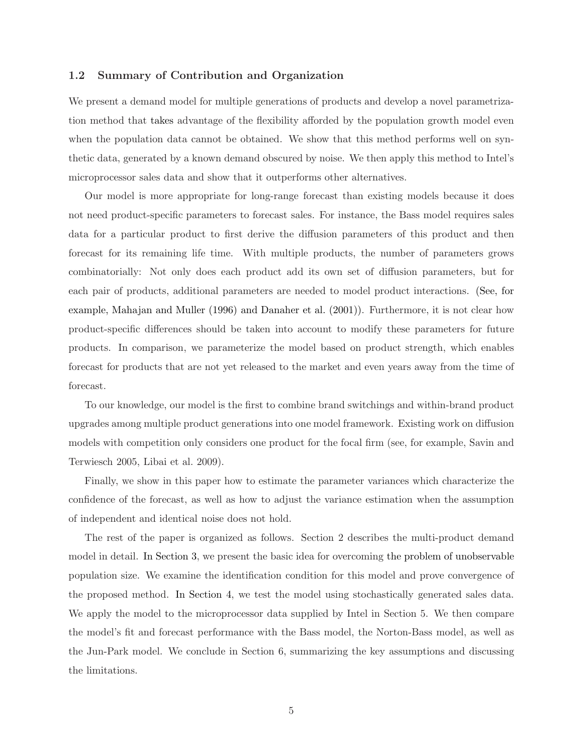## **1.2 Summary of Contribution and Organization**

We present a demand model for multiple generations of products and develop a novel parametrization method that takes advantage of the flexibility afforded by the population growth model even when the population data cannot be obtained. We show that this method performs well on synthetic data, generated by a known demand obscured by noise. We then apply this method to Intel's microprocessor sales data and show that it outperforms other alternatives.

Our model is more appropriate for long-range forecast than existing models because it does not need product-specific parameters to forecast sales. For instance, the Bass model requires sales data for a particular product to first derive the diffusion parameters of this product and then forecast for its remaining life time. With multiple products, the number of parameters grows combinatorially: Not only does each product add its own set of diffusion parameters, but for each pair of products, additional parameters are needed to model product interactions. (See, for example, Mahajan and Muller (1996) and Danaher et al. (2001)). Furthermore, it is not clear how product-specific differences should be taken into account to modify these parameters for future products. In comparison, we parameterize the model based on product strength, which enables forecast for products that are not yet released to the market and even years away from the time of forecast.

To our knowledge, our model is the first to combine brand switchings and within-brand product upgrades among multiple product generations into one model framework. Existing work on diffusion models with competition only considers one product for the focal firm (see, for example, Savin and Terwiesch 2005, Libai et al. 2009).

Finally, we show in this paper how to estimate the parameter variances which characterize the confidence of the forecast, as well as how to adjust the variance estimation when the assumption of independent and identical noise does not hold.

The rest of the paper is organized as follows. Section 2 describes the multi-product demand model in detail. In Section 3, we present the basic idea for overcoming the problem of unobservable population size. We examine the identification condition for this model and prove convergence of the proposed method. In Section 4, we test the model using stochastically generated sales data. We apply the model to the microprocessor data supplied by Intel in Section 5. We then compare the model's fit and forecast performance with the Bass model, the Norton-Bass model, as well as the Jun-Park model. We conclude in Section 6, summarizing the key assumptions and discussing the limitations.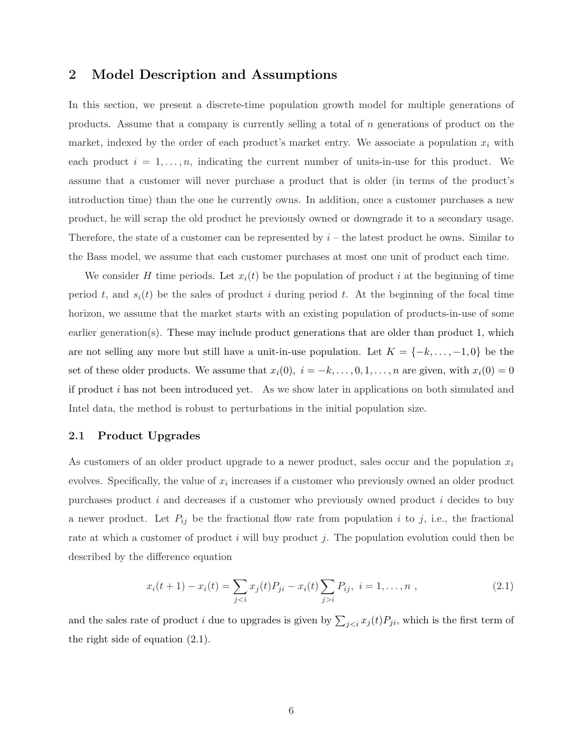# **2 Model Description and Assumptions**

In this section, we present a discrete-time population growth model for multiple generations of products. Assume that a company is currently selling a total of n generations of product on the market, indexed by the order of each product's market entry. We associate a population  $x_i$  with each product  $i = 1, \ldots, n$ , indicating the current number of units-in-use for this product. We assume that a customer will never purchase a product that is older (in terms of the product's introduction time) than the one he currently owns. In addition, once a customer purchases a new product, he will scrap the old product he previously owned or downgrade it to a secondary usage. Therefore, the state of a customer can be represented by  $i$  – the latest product he owns. Similar to the Bass model, we assume that each customer purchases at most one unit of product each time.

We consider H time periods. Let  $x_i(t)$  be the population of product i at the beginning of time period t, and  $s_i(t)$  be the sales of product i during period t. At the beginning of the focal time horizon, we assume that the market starts with an existing population of products-in-use of some earlier generation(s). These may include product generations that are older than product  $1$ , which are not selling any more but still have a unit-in-use population. Let  $K = \{-k, \ldots, -1, 0\}$  be the set of these older products. We assume that  $x_i(0), i = -k, \ldots, 0, 1, \ldots, n$  are given, with  $x_i(0) = 0$ if product  $i$  has not been introduced yet. As we show later in applications on both simulated and Intel data, the method is robust to perturbations in the initial population size.

#### **2.1 Product Upgrades**

As customers of an older product upgrade to a newer product, sales occur and the population  $x_i$ evolves. Specifically, the value of  $x_i$  increases if a customer who previously owned an older product purchases product i and decreases if a customer who previously owned product i decides to buy a newer product. Let  $P_{ij}$  be the fractional flow rate from population i to j, i.e., the fractional rate at which a customer of product i will buy product j. The population evolution could then be described by the difference equation

$$
x_i(t+1) - x_i(t) = \sum_{j < i} x_j(t) P_{ji} - x_i(t) \sum_{j > i} P_{ij}, \ i = 1, \dots, n \tag{2.1}
$$

and the sales rate of product *i* due to upgrades is given by  $\sum_{j \leq i} x_j(t) P_{ji}$ , which is the first term of the right side of equation (2.1).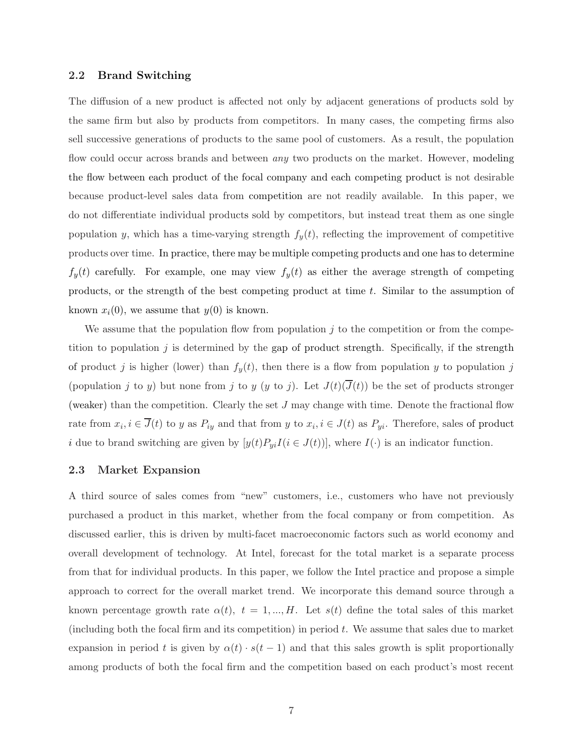## **2.2 Brand Switching**

The diffusion of a new product is affected not only by adjacent generations of products sold by the same firm but also by products from competitors. In many cases, the competing firms also sell successive generations of products to the same pool of customers. As a result, the population flow could occur across brands and between *any* two products on the market. However, modeling the flow between each product of the focal company and each competing product is not desirable because product-level sales data from competition are not readily available. In this paper, we do not differentiate individual products sold by competitors, but instead treat them as one single population y, which has a time-varying strength  $f_y(t)$ , reflecting the improvement of competitive products over time. In practice, there may be multiple competing products and one has to determine  $f_y(t)$  carefully. For example, one may view  $f_y(t)$  as either the average strength of competing products, or the strength of the best competing product at time t. Similar to the assumption of known  $x_i(0)$ , we assume that  $y(0)$  is known.

We assume that the population flow from population  $j$  to the competition or from the competition to population j is determined by the gap of product strength. Specifically, if the strength of product j is higher (lower) than  $f_y(t)$ , then there is a flow from population y to population j (population j to y) but none from j to y (y to j). Let  $J(t)(\overline{J}(t))$  be the set of products stronger (weaker) than the competition. Clearly the set  $J$  may change with time. Denote the fractional flow rate from  $x_i, i \in \overline{J}(t)$  to y as  $P_{iy}$  and that from y to  $x_i, i \in J(t)$  as  $P_{yi}$ . Therefore, sales of product i due to brand switching are given by  $[y(t)P_{yi}I(i \in J(t))]$ , where  $I(\cdot)$  is an indicator function.

## **2.3 Market Expansion**

A third source of sales comes from "new" customers, i.e., customers who have not previously purchased a product in this market, whether from the focal company or from competition. As discussed earlier, this is driven by multi-facet macroeconomic factors such as world economy and overall development of technology. At Intel, forecast for the total market is a separate process from that for individual products. In this paper, we follow the Intel practice and propose a simple approach to correct for the overall market trend. We incorporate this demand source through a known percentage growth rate  $\alpha(t)$ ,  $t = 1, ..., H$ . Let  $s(t)$  define the total sales of this market (including both the focal firm and its competition) in period  $t$ . We assume that sales due to market expansion in period t is given by  $\alpha(t) \cdot s(t-1)$  and that this sales growth is split proportionally among products of both the focal firm and the competition based on each product's most recent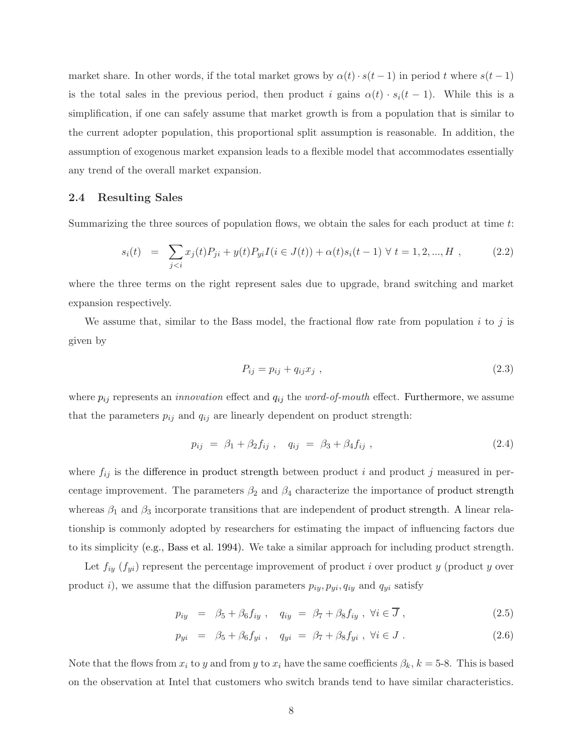market share. In other words, if the total market grows by  $\alpha(t) \cdot s(t-1)$  in period t where  $s(t-1)$ is the total sales in the previous period, then product i gains  $\alpha(t) \cdot s_i(t-1)$ . While this is a simplification, if one can safely assume that market growth is from a population that is similar to the current adopter population, this proportional split assumption is reasonable. In addition, the assumption of exogenous market expansion leads to a flexible model that accommodates essentially any trend of the overall market expansion.

#### **2.4 Resulting Sales**

Summarizing the three sources of population flows, we obtain the sales for each product at time t:

$$
s_i(t) = \sum_{j < i} x_j(t) P_{ji} + y(t) P_{yi} I(i \in J(t)) + \alpha(t) s_i(t-1) \quad \forall \ t = 1, 2, ..., H \tag{2.2}
$$

where the three terms on the right represent sales due to upgrade, brand switching and market expansion respectively.

We assume that, similar to the Bass model, the fractional flow rate from population  $i$  to  $j$  is given by

$$
P_{ij} = p_{ij} + q_{ij}x_j \tag{2.3}
$$

where  $p_{ij}$  represents an *innovation* effect and  $q_{ij}$  the *word-of-mouth* effect. Furthermore, we assume that the parameters  $p_{ij}$  and  $q_{ij}$  are linearly dependent on product strength:

$$
p_{ij} = \beta_1 + \beta_2 f_{ij} , \quad q_{ij} = \beta_3 + \beta_4 f_{ij} , \qquad (2.4)
$$

where  $f_{ij}$  is the difference in product strength between product i and product j measured in percentage improvement. The parameters  $\beta_2$  and  $\beta_4$  characterize the importance of product strength whereas  $\beta_1$  and  $\beta_3$  incorporate transitions that are independent of product strength. A linear relationship is commonly adopted by researchers for estimating the impact of influencing factors due to its simplicity (e.g., Bass et al. 1994). We take a similar approach for including product strength.

Let  $f_{iy}$  ( $f_{yi}$ ) represent the percentage improvement of product i over product y (product y over product i), we assume that the diffusion parameters  $p_{iy}, p_{yi}, q_{iy}$  and  $q_{yi}$  satisfy

$$
p_{iy} = \beta_5 + \beta_6 f_{iy}, \quad q_{iy} = \beta_7 + \beta_8 f_{iy}, \ \forall i \in \overline{J}, \tag{2.5}
$$

$$
p_{yi} = \beta_5 + \beta_6 f_{yi} , \quad q_{yi} = \beta_7 + \beta_8 f_{yi} , \forall i \in J .
$$
 (2.6)

Note that the flows from  $x_i$  to y and from y to  $x_i$  have the same coefficients  $\beta_k$ ,  $k = 5$ -8. This is based on the observation at Intel that customers who switch brands tend to have similar characteristics.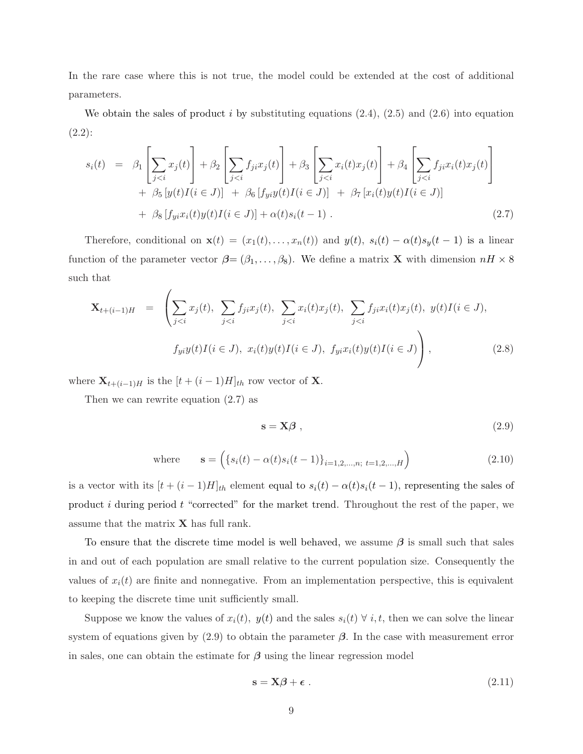In the rare case where this is not true, the model could be extended at the cost of additional parameters.

We obtain the sales of product i by substituting equations  $(2.4)$ ,  $(2.5)$  and  $(2.6)$  into equation  $(2.2)$ :

$$
s_i(t) = \beta_1 \left[ \sum_{j < i} x_j(t) \right] + \beta_2 \left[ \sum_{j < i} f_{ji} x_j(t) \right] + \beta_3 \left[ \sum_{j < i} x_i(t) x_j(t) \right] + \beta_4 \left[ \sum_{j < i} f_{ji} x_i(t) x_j(t) \right] + \beta_5 \left[ y(t) I(i \in J) \right] + \beta_6 \left[ f_{yij} y(t) I(i \in J) \right] + \beta_7 \left[ x_i(t) y(t) I(i \in J) \right] + \beta_8 \left[ f_{yij} x_i(t) y(t) I(i \in J) \right] + \alpha(t) s_i(t - 1) \tag{2.7}
$$

Therefore, conditional on **x**(t) = (x<sub>1</sub>(t),...,x<sub>n</sub>(t)) and y(t), s<sub>i</sub>(t) –  $\alpha$ (t)s<sub>y</sub>(t – 1) is a linear function of the parameter vector  $\beta = (\beta_1, \ldots, \beta_8)$ . We define a matrix **X** with dimension  $nH \times 8$ such that

$$
\mathbf{X}_{t+(i-1)H} = \left( \sum_{j  

$$
f_{yi} y(t) I(i \in J), x_i(t) y(t) I(i \in J), f_{yi} x_i(t) y(t) I(i \in J) \right),
$$
 (2.8)
$$

where  $\mathbf{X}_{t+(i-1)H}$  is the  $[t+(i-1)H]_{th}$  row vector of **X**.

Then we can rewrite equation (2.7) as

 $\overline{a}$ 

$$
\mathbf{s} = \mathbf{X}\boldsymbol{\beta} \tag{2.9}
$$

where 
$$
\mathbf{s} = (s_i(t) - \alpha(t)s_i(t-1))_{i=1,2,...,n; t=1,2,...,H})
$$
 (2.10)

is a vector with its  $[t + (i - 1)H]_{th}$  element equal to  $s_i(t) - \alpha(t)s_i(t-1)$ , representing the sales of product i during period  $t$  "corrected" for the market trend. Throughout the rest of the paper, we assume that the matrix **X** has full rank.

To ensure that the discrete time model is well behaved, we assume *β* is small such that sales in and out of each population are small relative to the current population size. Consequently the values of  $x_i(t)$  are finite and nonnegative. From an implementation perspective, this is equivalent to keeping the discrete time unit sufficiently small.

Suppose we know the values of  $x_i(t)$ ,  $y(t)$  and the sales  $s_i(t) \forall i, t$ , then we can solve the linear system of equations given by  $(2.9)$  to obtain the parameter  $\beta$ . In the case with measurement error in sales, one can obtain the estimate for  $\beta$  using the linear regression model

$$
\mathbf{s} = \mathbf{X}\boldsymbol{\beta} + \boldsymbol{\epsilon} \tag{2.11}
$$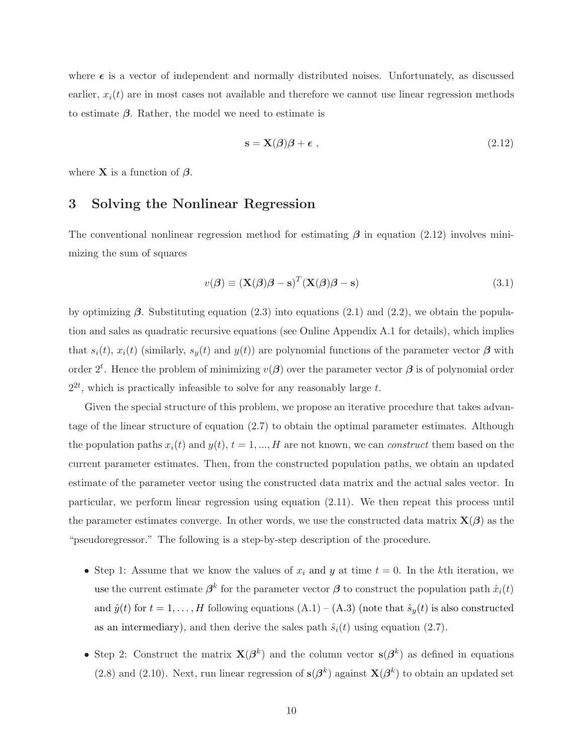where  $\epsilon$  is a vector of independent and normally distributed noises. Unfortunately, as discussed earlier,  $x_i(t)$  are in most cases not available and therefore we cannot use linear regression methods to estimate *β*. Rather, the model we need to estimate is

$$
\mathbf{s} = \mathbf{X}(\boldsymbol{\beta})\boldsymbol{\beta} + \boldsymbol{\epsilon} \tag{2.12}
$$

where **X** is a function of  $\beta$ .

# **3 Solving the Nonlinear Regression**

The conventional nonlinear regression method for estimating  $\beta$  in equation (2.12) involves minimizing the sum of squares

$$
v(\boldsymbol{\beta}) \equiv (\mathbf{X}(\boldsymbol{\beta})\boldsymbol{\beta} - \mathbf{s})^T (\mathbf{X}(\boldsymbol{\beta})\boldsymbol{\beta} - \mathbf{s})
$$
\n(3.1)

by optimizing *β*. Substituting equation (2.3) into equations (2.1) and (2.2), we obtain the population and sales as quadratic recursive equations (see Online Appendix A.1 for details), which implies that  $s_i(t)$ ,  $x_i(t)$  (similarly,  $s_y(t)$  and  $y(t)$ ) are polynomial functions of the parameter vector  $\beta$  with order  $2^t$ . Hence the problem of minimizing  $v(\beta)$  over the parameter vector  $\beta$  is of polynomial order  $2^{2t}$ , which is practically infeasible to solve for any reasonably large t.

Given the special structure of this problem, we propose an iterative procedure that takes advantage of the linear structure of equation (2.7) to obtain the optimal parameter estimates. Although the population paths  $x_i(t)$  and  $y(t)$ ,  $t = 1, ..., H$  are not known, we can *construct* them based on the current parameter estimates. Then, from the constructed population paths, we obtain an updated estimate of the parameter vector using the constructed data matrix and the actual sales vector. In particular, we perform linear regression using equation (2.11). We then repeat this process until the parameter estimates converge. In other words, we use the constructed data matrix  $\mathbf{X}(\boldsymbol{\beta})$  as the "pseudoregressor." The following is a step-by-step description of the procedure.

- Step 1: Assume that we know the values of  $x_i$  and y at time  $t = 0$ . In the kth iteration, we use the current estimate  $\beta^k$  for the parameter vector  $\beta$  to construct the population path  $\hat{x}_i(t)$ and  $\hat{y}(t)$  for  $t = 1, ..., H$  following equations  $(A.1) - (A.3)$  (note that  $\hat{s}_y(t)$  is also constructed as an intermediary), and then derive the sales path  $\hat{s}_i(t)$  using equation (2.7).
- Step 2: Construct the matrix  $\mathbf{X}(\beta^k)$  and the column vector  $\mathbf{s}(\beta^k)$  as defined in equations (2.8) and (2.10). Next, run linear regression of **s** $(\beta^k)$  against **X** $(\beta^k)$  to obtain an updated set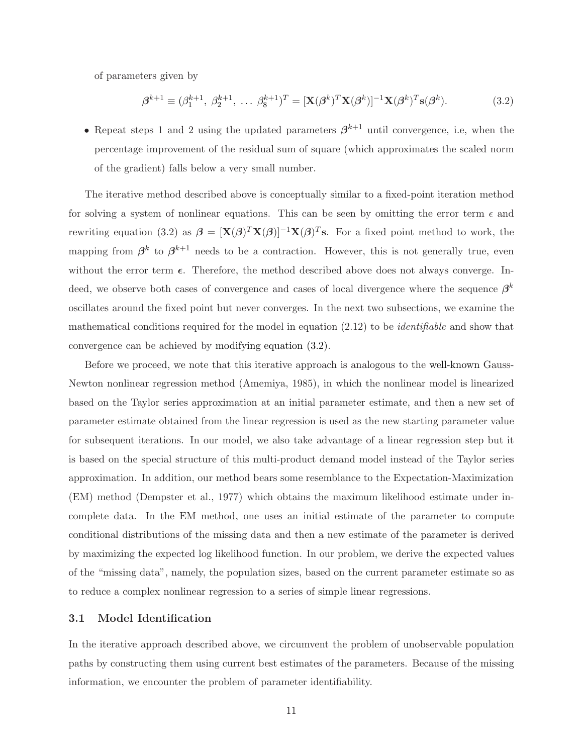of parameters given by

$$
\beta^{k+1} \equiv (\beta_1^{k+1}, \ \beta_2^{k+1}, \ \dots \ \beta_8^{k+1})^T = [\mathbf{X}(\beta^k)^T \mathbf{X}(\beta^k)]^{-1} \mathbf{X}(\beta^k)^T \mathbf{s}(\beta^k).
$$
(3.2)

• Repeat steps 1 and 2 using the updated parameters  $\beta^{k+1}$  until convergence, i.e, when the percentage improvement of the residual sum of square (which approximates the scaled norm of the gradient) falls below a very small number.

The iterative method described above is conceptually similar to a fixed-point iteration method for solving a system of nonlinear equations. This can be seen by omitting the error term  $\epsilon$  and rewriting equation (3.2) as  $\beta = [\mathbf{X}(\beta)^T \mathbf{X}(\beta)]^{-1} \mathbf{X}(\beta)^T$  **s**. For a fixed point method to work, the mapping from  $\beta^k$  to  $\beta^{k+1}$  needs to be a contraction. However, this is not generally true, even without the error term  $\epsilon$ . Therefore, the method described above does not always converge. Indeed, we observe both cases of convergence and cases of local divergence where the sequence *β*<sup>k</sup> oscillates around the fixed point but never converges. In the next two subsections, we examine the mathematical conditions required for the model in equation (2.12) to be *identifiable* and show that convergence can be achieved by modifying equation (3.2).

Before we proceed, we note that this iterative approach is analogous to the well-known Gauss-Newton nonlinear regression method (Amemiya, 1985), in which the nonlinear model is linearized based on the Taylor series approximation at an initial parameter estimate, and then a new set of parameter estimate obtained from the linear regression is used as the new starting parameter value for subsequent iterations. In our model, we also take advantage of a linear regression step but it is based on the special structure of this multi-product demand model instead of the Taylor series approximation. In addition, our method bears some resemblance to the Expectation-Maximization (EM) method (Dempster et al., 1977) which obtains the maximum likelihood estimate under incomplete data. In the EM method, one uses an initial estimate of the parameter to compute conditional distributions of the missing data and then a new estimate of the parameter is derived by maximizing the expected log likelihood function. In our problem, we derive the expected values of the "missing data", namely, the population sizes, based on the current parameter estimate so as to reduce a complex nonlinear regression to a series of simple linear regressions.

## **3.1 Model Identification**

In the iterative approach described above, we circumvent the problem of unobservable population paths by constructing them using current best estimates of the parameters. Because of the missing information, we encounter the problem of parameter identifiability.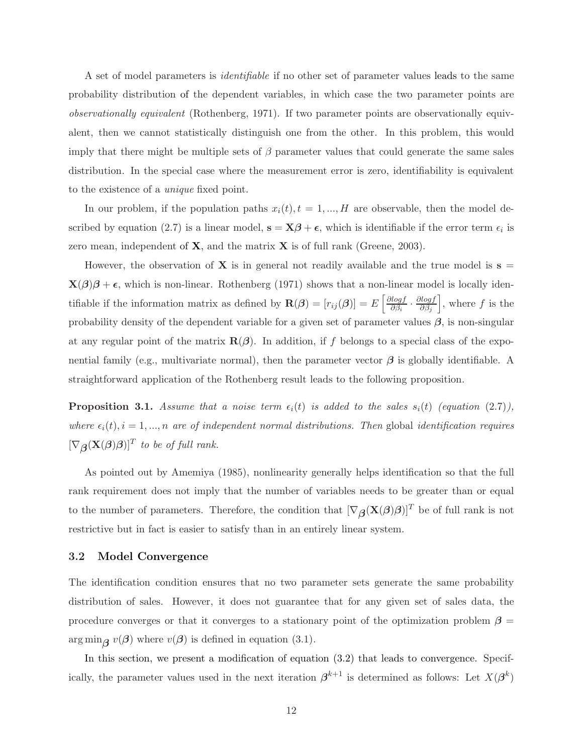A set of model parameters is *identifiable* if no other set of parameter values leads to the same probability distribution of the dependent variables, in which case the two parameter points are *observationally equivalent* (Rothenberg, 1971). If two parameter points are observationally equivalent, then we cannot statistically distinguish one from the other. In this problem, this would imply that there might be multiple sets of  $\beta$  parameter values that could generate the same sales distribution. In the special case where the measurement error is zero, identifiability is equivalent to the existence of a *unique* fixed point.

In our problem, if the population paths  $x_i(t)$ ,  $t = 1, ..., H$  are observable, then the model described by equation (2.7) is a linear model,  $\mathbf{s} = \mathbf{X}\boldsymbol{\beta} + \boldsymbol{\epsilon}$ , which is identifiable if the error term  $\epsilon_i$  is zero mean, independent of  $X$ , and the matrix  $X$  is of full rank (Greene, 2003).

However, the observation of **X** is in general not readily available and the true model is  $s =$  $\mathbf{X}(\boldsymbol{\beta})\boldsymbol{\beta} + \boldsymbol{\epsilon}$ , which is non-linear. Rothenberg (1971) shows that a non-linear model is locally identifiable if the information matrix as defined by  $\mathbf{R}(\boldsymbol{\beta}) = [r_{ij}(\boldsymbol{\beta})] = E \left[ \frac{\partial logf}{\partial \beta_i} \cdot \frac{\partial logf}{\partial \beta_j} \right]$ , where  $f$  is the probability density of the dependent variable for a given set of parameter values *β*, is non-singular at any regular point of the matrix  $\mathbf{R}(\beta)$ . In addition, if f belongs to a special class of the exponential family (e.g., multivariate normal), then the parameter vector  $\beta$  is globally identifiable. A straightforward application of the Rothenberg result leads to the following proposition.

**Proposition 3.1.** *Assume that a noise term*  $\epsilon_i(t)$  *is added to the sales*  $s_i(t)$  *(equation* (2.7)*)*, *where*  $\epsilon_i(t)$ ,  $i = 1, ..., n$  *are of independent normal distributions. Then* global *identification requires*  $[\nabla_{\boldsymbol{\beta}}(\mathbf{X}(\boldsymbol{\beta})\boldsymbol{\beta})]^T$  *to be of full rank.* 

As pointed out by Amemiya (1985), nonlinearity generally helps identification so that the full rank requirement does not imply that the number of variables needs to be greater than or equal to the number of parameters. Therefore, the condition that  $[\nabla_{\beta}(\mathbf{X}(\beta)\beta)]^T$  be of full rank is not restrictive but in fact is easier to satisfy than in an entirely linear system.

## **3.2 Model Convergence**

The identification condition ensures that no two parameter sets generate the same probability distribution of sales. However, it does not guarantee that for any given set of sales data, the procedure converges or that it converges to a stationary point of the optimization problem  $\beta$  $\arg \min_{\mathbf{\beta}} v(\mathbf{\beta})$  where  $v(\mathbf{\beta})$  is defined in equation (3.1).

In this section, we present a modification of equation (3.2) that leads to convergence. Specifically, the parameter values used in the next iteration  $\beta^{k+1}$  is determined as follows: Let  $X(\beta^k)$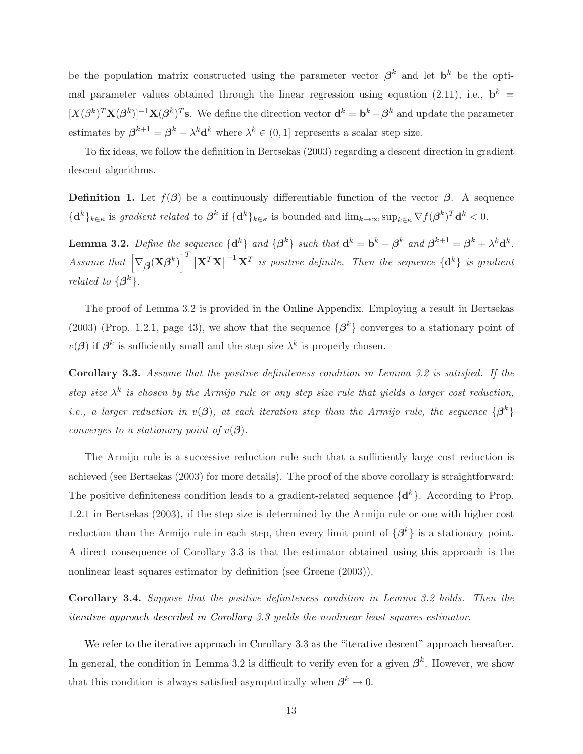be the population matrix constructed using the parameter vector  $\beta^k$  and let  $\mathbf{b}^k$  be the optimal parameter values obtained through the linear regression using equation (2.11), i.e.,  $\mathbf{b}^k$  =  $[X(\beta^k)^T \mathbf{X}(\beta^k)]^{-1} \mathbf{X}(\beta^k)^T$  **s**. We define the direction vector  $\mathbf{d}^k = \mathbf{b}^k - \beta^k$  and update the parameter estimates by  $\beta^{k+1} = \beta^k + \lambda^k \mathbf{d}^k$  where  $\lambda^k \in (0, 1]$  represents a scalar step size.

To fix ideas, we follow the definition in Bertsekas (2003) regarding a descent direction in gradient descent algorithms.

**Definition 1.** Let  $f(\beta)$  be a continuously differentiable function of the vector  $\beta$ . A sequence  ${\{\mathbf d}^k\}_{k\in\kappa}$  is *gradient related* to  $\boldsymbol{\beta}^k$  if  ${\{\mathbf d}^k\}_{k\in\kappa}$  is bounded and  $\lim_{k\to\infty} \sup_{k\in\kappa} \nabla f(\boldsymbol{\beta}^k)^T \mathbf{d}^k < 0$ .

**Lemma 3.2.** *Define the sequence*  $\{\mathbf{d}^k\}$  *and*  $\{\beta^k\}$  *such that*  $\mathbf{d}^k = \mathbf{b}^k - \beta^k$  *and*  $\beta^{k+1} = \beta^k + \lambda^k \mathbf{d}^k$ .  $\int_{\mathcal{B}} f(\mathbf{x}) \mathbf{x} \cdot d\mathbf{x} = \int_{\mathcal{B}} f(\mathbf{x}) \left[\mathbf{x} \cdot \mathbf{x}\right]^{-1} \mathbf{x}$  *is positive definite. Then the sequence*  $\{ \mathbf{d}^k \}$  *is gradient related to*  $\{\beta^k\}.$ 

The proof of Lemma 3.2 is provided in the Online Appendix. Employing a result in Bertsekas (2003) (Prop. 1.2.1, page 43), we show that the sequence  $\{\beta^k\}$  converges to a stationary point of  $v(\boldsymbol{\beta})$  if  $\boldsymbol{\beta}^k$  is sufficiently small and the step size  $\lambda^k$  is properly chosen.

**Corollary 3.3.** *Assume that the positive definiteness condition in Lemma 3.2 is satisfied. If the step size*  $\lambda^k$  *is chosen by the Armijo rule or any step size rule that yields a larger cost reduction, i.e., a larger reduction in*  $v(\beta)$ *, at each iteration step than the Armijo rule, the sequence*  $\{\beta^k\}$ *converges to a stationary point of*  $v(\beta)$ *.* 

The Armijo rule is a successive reduction rule such that a sufficiently large cost reduction is achieved (see Bertsekas (2003) for more details). The proof of the above corollary is straightforward: The positive definiteness condition leads to a gradient-related sequence  $\{d^k\}$ . According to Prop. 1.2.1 in Bertsekas (2003), if the step size is determined by the Armijo rule or one with higher cost reduction than the Armijo rule in each step, then every limit point of  $\{\beta^k\}$  is a stationary point. A direct consequence of Corollary 3.3 is that the estimator obtained using this approach is the nonlinear least squares estimator by definition (see Greene  $(2003)$ ).

**Corollary 3.4.** *Suppose that the positive definiteness condition in Lemma 3.2 holds. Then the iterative approach described in Corollary 3.3 yields the nonlinear least squares estimator.*

We refer to the iterative approach in Corollary 3.3 as the "iterative descent" approach hereafter. In general, the condition in Lemma 3.2 is difficult to verify even for a given  $\beta^k$ . However, we show that this condition is always satisfied asymptotically when  $\beta^k \to 0$ .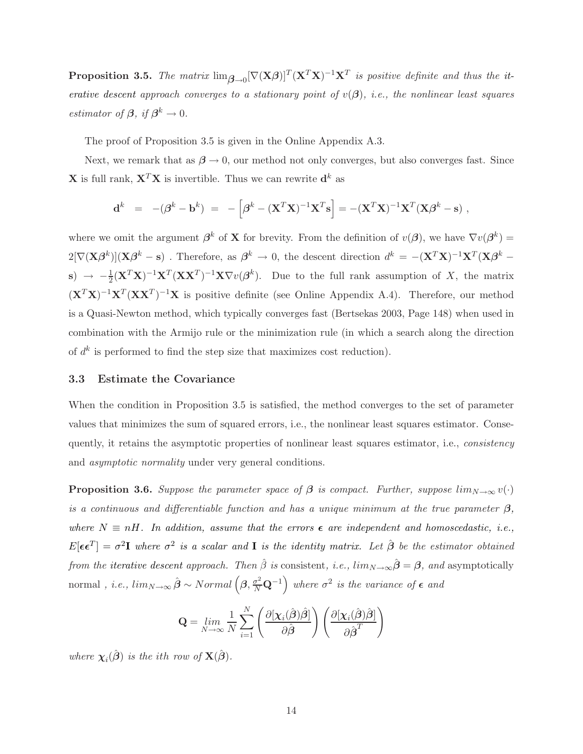**Proposition 3.5.** *The matrix*  $\lim_{\beta \to 0} [\nabla(\mathbf{X}\beta)]^T (\mathbf{X}^T \mathbf{X})^{-1} \mathbf{X}^T$  *is positive definite and thus the iterative descent approach converges to a stationary point of*  $v(\beta)$ *, i.e., the nonlinear least squares estimator of*  $\beta$ *, if*  $\beta^k \to 0$ *.* 

The proof of Proposition 3.5 is given in the Online Appendix A.3.

Next, we remark that as  $\beta \rightarrow 0$ , our method not only converges, but also converges fast. Since **X** is full rank,  $X^T X$  is invertible. Thus we can rewrite  $d^k$  as

$$
\mathbf{d}^k = -(\boldsymbol{\beta}^k - \mathbf{b}^k) = -[\boldsymbol{\beta}^k - (\mathbf{X}^T \mathbf{X})^{-1} \mathbf{X}^T \mathbf{s}] = -(\mathbf{X}^T \mathbf{X})^{-1} \mathbf{X}^T (\mathbf{X} \boldsymbol{\beta}^k - \mathbf{s}) ,
$$

where we omit the argument  $\beta^k$  of **X** for brevity. From the definition of  $v(\beta)$ , we have  $\nabla v(\beta^k)$  =  $2[\nabla(\mathbf{X}\boldsymbol{\beta}^k)](\mathbf{X}\boldsymbol{\beta}^k - \mathbf{s})$ . Therefore, as  $\boldsymbol{\beta}^k \to 0$ , the descent direction  $d^k = -(\mathbf{X}^T\mathbf{X})^{-1}\mathbf{X}^T(\mathbf{X}\boldsymbol{\beta}^k - \mathbf{s})$ **s**) →  $-\frac{1}{2}(\mathbf{X}^T\mathbf{X})^{-1}\mathbf{X}^T(\mathbf{X}\mathbf{X}^T)^{-1}\mathbf{X}\nabla v(\boldsymbol{\beta}^k)$ . Due to the full rank assumption of X, the matrix  $(X^T X)^{-1} X^T (XX^T)^{-1} X$  is positive definite (see Online Appendix A.4). Therefore, our method is a Quasi-Newton method, which typically converges fast (Bertsekas 2003, Page 148) when used in combination with the Armijo rule or the minimization rule (in which a search along the direction of  $d^k$  is performed to find the step size that maximizes cost reduction).

## **3.3 Estimate the Covariance**

When the condition in Proposition 3.5 is satisfied, the method converges to the set of parameter values that minimizes the sum of squared errors, i.e., the nonlinear least squares estimator. Consequently, it retains the asymptotic properties of nonlinear least squares estimator, i.e., *consistency* and *asymptotic normality* under very general conditions.

**Proposition 3.6.** *Suppose the parameter space of*  $\beta$  *is compact. Further, suppose lim*<sub>N→∞</sub>  $v(\cdot)$ *is a continuous and differentiable function and has a unique minimum at the true parameter β, where*  $N \equiv nH$ . In addition, assume that the errors  $\epsilon$  are independent and homoscedastic, i.e.,  $E[\epsilon \epsilon^T] = \sigma^2 \mathbf{I}$  where  $\sigma^2$  is a scalar and **I** is the identity matrix. Let  $\hat{\boldsymbol{\beta}}$  be the estimator obtained *from the iterative descent approach. Then*  $\hat{\beta}$  *is* consistent, *i.e.*,  $\lim_{N\to\infty}\hat{\beta} = \beta$ , and asymptotically normal, *i.e.,*  $lim_{N\to\infty} \hat{\boldsymbol{\beta}} \sim Normal\left(\boldsymbol{\beta}, \frac{\sigma^2}{N} \mathbf{Q}^{-1}\right)$  where  $\sigma^2$  is the variance of  $\boldsymbol{\epsilon}$  and

$$
\mathbf{Q} = \lim_{N \to \infty} \frac{1}{N} \sum_{i=1}^{N} \left( \frac{\partial [\chi_i(\hat{\boldsymbol{\beta}}) \hat{\boldsymbol{\beta}}]}{\partial \hat{\boldsymbol{\beta}}} \right) \left( \frac{\partial [\chi_i(\hat{\boldsymbol{\beta}}) \hat{\boldsymbol{\beta}}]}{\partial \hat{\boldsymbol{\beta}}^T} \right)
$$

*where*  $\chi_i(\hat{\boldsymbol{\beta}})$  *is the ith row of*  $\mathbf{X}(\hat{\boldsymbol{\beta}})$ *.*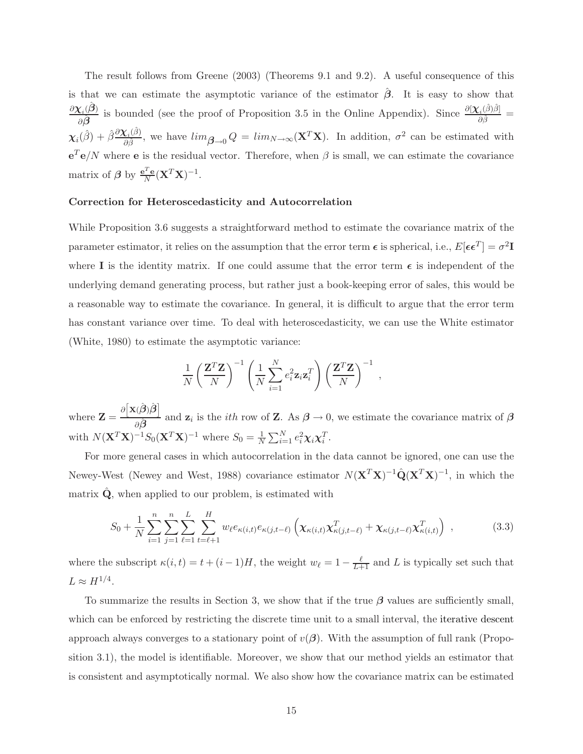The result follows from Greene (2003) (Theorems 9.1 and 9.2). A useful consequence of this is that we can estimate the asymptotic variance of the estimator  $\hat{\beta}$ . It is easy to show that  $\frac{\partial \boldsymbol{\chi}_i(\hat{\boldsymbol{\beta}})}{\hat{\sigma}}$  $\frac{\partial \chi_i(\hat{\beta})}{\partial \hat{\beta}}$  is bounded (see the proof of Proposition 3.5 in the Online Appendix). Since  $\frac{\partial [\chi_i(\hat{\beta})\hat{\beta}]}{\partial \hat{\beta}} =$  $\chi_i(\hat{\beta}) + \hat{\beta} \frac{\partial \chi_i(\hat{\beta})}{\partial \hat{\beta}},$  we have  $\lim_{\beta \to 0} Q = \lim_{N \to \infty} (\mathbf{X}^T \mathbf{X})$ . In addition,  $\sigma^2$  can be estimated with  $e^T e/N$  where **e** is the residual vector. Therefore, when  $\beta$  is small, we can estimate the covariance matrix of  $\beta$  by  $\frac{e^T e}{N} (\mathbf{X}^T \mathbf{X})^{-1}$ .

## **Correction for Heteroscedasticity and Autocorrelation**

While Proposition 3.6 suggests a straightforward method to estimate the covariance matrix of the parameter estimator, it relies on the assumption that the error term  $\epsilon$  is spherical, i.e.,  $E[\epsilon \epsilon^T] = \sigma^2 \mathbf{I}$ where **I** is the identity matrix. If one could assume that the error term  $\epsilon$  is independent of the underlying demand generating process, but rather just a book-keeping error of sales, this would be a reasonable way to estimate the covariance. In general, it is difficult to argue that the error term has constant variance over time. To deal with heteroscedasticity, we can use the White estimator (White, 1980) to estimate the asymptotic variance:

$$
\frac{1}{N} \left( \frac{\mathbf{Z}^T \mathbf{Z}}{N} \right)^{-1} \left( \frac{1}{N} \sum_{i=1}^N e_i^2 \mathbf{z}_i \mathbf{z}_i^T \right) \left( \frac{\mathbf{Z}^T \mathbf{Z}}{N} \right)^{-1}
$$

where  $\mathbf{Z} = \left[ \mathbf{x}(\hat{\boldsymbol{\beta}}) \hat{\boldsymbol{\beta}} \right]$  $\frac{\partial^2 F}{\partial \hat{\beta}}$  and **z**<sub>i</sub> is the *i*th row of **Z**. As  $\beta \to 0$ , we estimate the covariance matrix of  $\beta$ with  $N(\mathbf{X}^T \mathbf{X})^{-1} S_0(\mathbf{X}^T \mathbf{X})^{-1}$  where  $S_0 = \frac{1}{N}$  $\sum_{i=1}^N e_i^2 \chi_i \chi_i^T$ .

For more general cases in which autocorrelation in the data cannot be ignored, one can use the Newey-West (Newey and West, 1988) covariance estimator  $N(\mathbf{X}^T\mathbf{X})^{-1}\hat{\mathbf{Q}}(\mathbf{X}^T\mathbf{X})^{-1}$ , in which the matrix  $\hat{\mathbf{Q}}$ , when applied to our problem, is estimated with

$$
S_0 + \frac{1}{N} \sum_{i=1}^n \sum_{j=1}^n \sum_{\ell=1}^L \sum_{t=\ell+1}^H w_{\ell} e_{\kappa(i,t)} e_{\kappa(j,t-\ell)} \left( \chi_{\kappa(i,t)} \chi_{\kappa(j,t-\ell)}^T + \chi_{\kappa(j,t-\ell)} \chi_{\kappa(i,t)}^T \right) ,
$$
 (3.3)

,

where the subscript  $\kappa(i, t) = t + (i - 1)H$ , the weight  $w_{\ell} = 1 - \frac{\ell}{L+1}$  and L is typically set such that  $L \approx H^{1/4}.$ 

To summarize the results in Section 3, we show that if the true *β* values are sufficiently small, which can be enforced by restricting the discrete time unit to a small interval, the iterative descent approach always converges to a stationary point of  $v(\beta)$ . With the assumption of full rank (Proposition 3.1), the model is identifiable. Moreover, we show that our method yields an estimator that is consistent and asymptotically normal. We also show how the covariance matrix can be estimated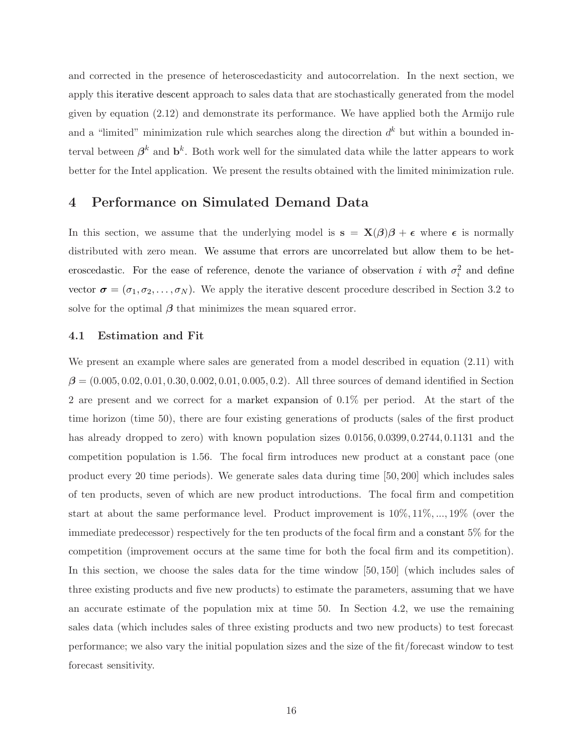and corrected in the presence of heteroscedasticity and autocorrelation. In the next section, we apply this iterative descent approach to sales data that are stochastically generated from the model given by equation (2.12) and demonstrate its performance. We have applied both the Armijo rule and a "limited" minimization rule which searches along the direction  $d^k$  but within a bounded interval between  $\beta^k$  and  $\mathbf{b}^k$ . Both work well for the simulated data while the latter appears to work better for the Intel application. We present the results obtained with the limited minimization rule.

# **4 Performance on Simulated Demand Data**

In this section, we assume that the underlying model is  $\mathbf{s} = \mathbf{X}(\boldsymbol{\beta})\boldsymbol{\beta} + \boldsymbol{\epsilon}$  where  $\boldsymbol{\epsilon}$  is normally distributed with zero mean. We assume that errors are uncorrelated but allow them to be heteroscedastic. For the ease of reference, denote the variance of observation i with  $\sigma_i^2$  and define vector  $\sigma = (\sigma_1, \sigma_2, \dots, \sigma_N)$ . We apply the iterative descent procedure described in Section 3.2 to solve for the optimal  $\beta$  that minimizes the mean squared error.

#### **4.1 Estimation and Fit**

We present an example where sales are generated from a model described in equation  $(2.11)$  with  $\beta = (0.005, 0.02, 0.01, 0.30, 0.002, 0.01, 0.005, 0.2)$ . All three sources of demand identified in Section 2 are present and we correct for a market expansion of 0.1% per period. At the start of the time horizon (time 50), there are four existing generations of products (sales of the first product has already dropped to zero) with known population sizes  $0.0156, 0.0399, 0.2744, 0.1131$  and the competition population is 1.56. The focal firm introduces new product at a constant pace (one product every 20 time periods). We generate sales data during time [50, 200] which includes sales of ten products, seven of which are new product introductions. The focal firm and competition start at about the same performance level. Product improvement is  $10\%, 11\%, ..., 19\%$  (over the immediate predecessor) respectively for the ten products of the focal firm and a constant 5% for the competition (improvement occurs at the same time for both the focal firm and its competition). In this section, we choose the sales data for the time window [50, 150] (which includes sales of three existing products and five new products) to estimate the parameters, assuming that we have an accurate estimate of the population mix at time 50. In Section 4.2, we use the remaining sales data (which includes sales of three existing products and two new products) to test forecast performance; we also vary the initial population sizes and the size of the fit/forecast window to test forecast sensitivity.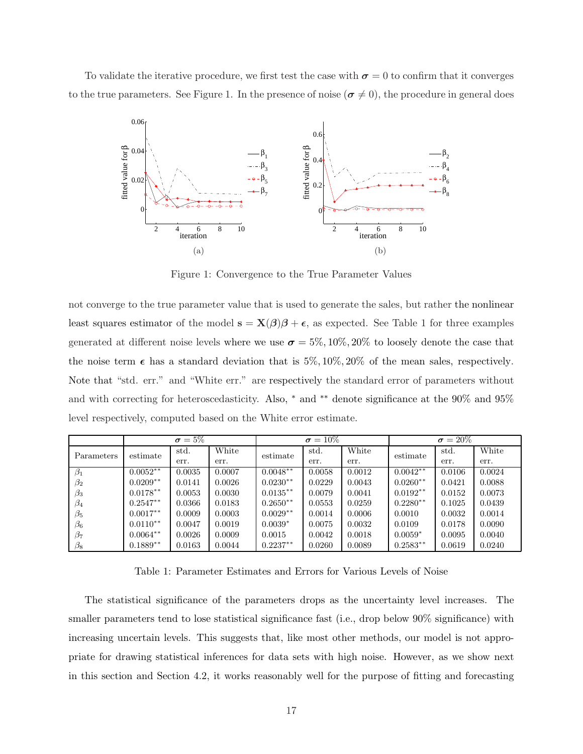To validate the iterative procedure, we first test the case with  $\sigma = 0$  to confirm that it converges to the true parameters. See Figure 1. In the presence of noise  $(\sigma \neq 0)$ , the procedure in general does



Figure 1: Convergence to the True Parameter Values

not converge to the true parameter value that is used to generate the sales, but rather the nonlinear least squares estimator of the model  $\mathbf{s} = \mathbf{X}(\boldsymbol{\beta})\boldsymbol{\beta} + \boldsymbol{\epsilon}$ , as expected. See Table 1 for three examples generated at different noise levels where we use  $\sigma = 5\%, 10\%, 20\%$  to loosely denote the case that the noise term  $\epsilon$  has a standard deviation that is 5%, 10%, 20% of the mean sales, respectively. Note that "std. err." and "White err." are respectively the standard error of parameters without and with correcting for heteroscedasticity. Also, ∗ and ∗∗ denote significance at the 90% and 95% level respectively, computed based on the White error estimate.

|            | $\sigma = 5\%$ |        |        | $\sigma = 10\%$ |        | $\sigma = 20\%$ |            |        |        |
|------------|----------------|--------|--------|-----------------|--------|-----------------|------------|--------|--------|
| Parameters | estimate       | std.   | White  | estimate        | std.   | White           | estimate   | std.   | White  |
|            |                | err.   | err.   |                 | err.   | err.            |            | err.   | err.   |
| $\beta_1$  | $0.0052**$     | 0.0035 | 0.0007 | $0.0048**$      | 0.0058 | 0.0012          | $0.0042**$ | 0.0106 | 0.0024 |
| $\beta_2$  | $0.0209**$     | 0.0141 | 0.0026 | $0.0230**$      | 0.0229 | 0.0043          | $0.0260**$ | 0.0421 | 0.0088 |
| $\beta_3$  | $0.0178**$     | 0.0053 | 0.0030 | $0.0135***$     | 0.0079 | 0.0041          | $0.0192**$ | 0.0152 | 0.0073 |
| $\beta_4$  | $0.2547**$     | 0.0366 | 0.0183 | $0.2650**$      | 0.0553 | 0.0259          | $0.2280**$ | 0.1025 | 0.0439 |
| $\beta_5$  | $0.0017**$     | 0.0009 | 0.0003 | $0.0029**$      | 0.0014 | 0.0006          | 0.0010     | 0.0032 | 0.0014 |
| $\beta_6$  | $0.0110**$     | 0.0047 | 0.0019 | $0.0039*$       | 0.0075 | 0.0032          | 0.0109     | 0.0178 | 0.0090 |
| $\beta_7$  | $0.0064**$     | 0.0026 | 0.0009 | 0.0015          | 0.0042 | 0.0018          | $0.0059*$  | 0.0095 | 0.0040 |
| $\beta_8$  | $0.1889**$     | 0.0163 | 0.0044 | $0.2237**$      | 0.0260 | 0.0089          | $0.2583**$ | 0.0619 | 0.0240 |

Table 1: Parameter Estimates and Errors for Various Levels of Noise

The statistical significance of the parameters drops as the uncertainty level increases. The smaller parameters tend to lose statistical significance fast (i.e., drop below 90% significance) with increasing uncertain levels. This suggests that, like most other methods, our model is not appropriate for drawing statistical inferences for data sets with high noise. However, as we show next in this section and Section 4.2, it works reasonably well for the purpose of fitting and forecasting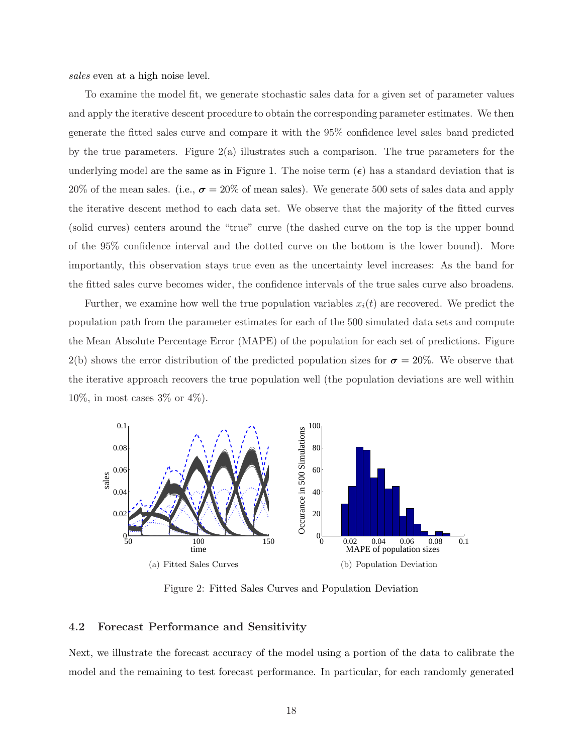*sales* even at a high noise level.

To examine the model fit, we generate stochastic sales data for a given set of parameter values and apply the iterative descent procedure to obtain the corresponding parameter estimates. We then generate the fitted sales curve and compare it with the 95% confidence level sales band predicted by the true parameters. Figure 2(a) illustrates such a comparison. The true parameters for the underlying model are the same as in Figure 1. The noise term  $(\epsilon)$  has a standard deviation that is 20% of the mean sales. (i.e.,  $\sigma = 20\%$  of mean sales). We generate 500 sets of sales data and apply the iterative descent method to each data set. We observe that the majority of the fitted curves (solid curves) centers around the "true" curve (the dashed curve on the top is the upper bound of the 95% confidence interval and the dotted curve on the bottom is the lower bound). More importantly, this observation stays true even as the uncertainty level increases: As the band for the fitted sales curve becomes wider, the confidence intervals of the true sales curve also broadens.

Further, we examine how well the true population variables  $x_i(t)$  are recovered. We predict the population path from the parameter estimates for each of the 500 simulated data sets and compute the Mean Absolute Percentage Error (MAPE) of the population for each set of predictions. Figure 2(b) shows the error distribution of the predicted population sizes for  $\sigma = 20\%$ . We observe that the iterative approach recovers the true population well (the population deviations are well within 10%, in most cases  $3\%$  or  $4\%$ ).



Figure 2: Fitted Sales Curves and Population Deviation

### **4.2 Forecast Performance and Sensitivity**

Next, we illustrate the forecast accuracy of the model using a portion of the data to calibrate the model and the remaining to test forecast performance. In particular, for each randomly generated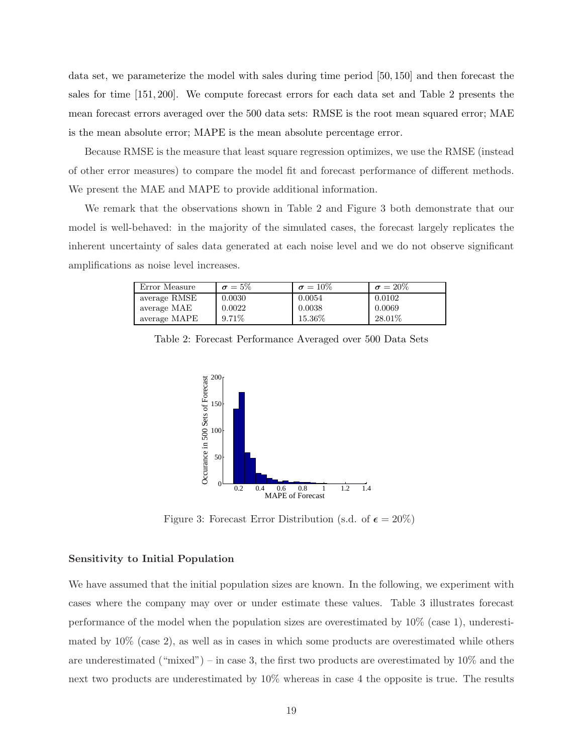data set, we parameterize the model with sales during time period [50, 150] and then forecast the sales for time [151, 200]. We compute forecast errors for each data set and Table 2 presents the mean forecast errors averaged over the 500 data sets: RMSE is the root mean squared error; MAE is the mean absolute error; MAPE is the mean absolute percentage error.

Because RMSE is the measure that least square regression optimizes, we use the RMSE (instead of other error measures) to compare the model fit and forecast performance of different methods. We present the MAE and MAPE to provide additional information.

We remark that the observations shown in Table 2 and Figure 3 both demonstrate that our model is well-behaved: in the majority of the simulated cases, the forecast largely replicates the inherent uncertainty of sales data generated at each noise level and we do not observe significant amplifications as noise level increases.

| Error Measure | $\sigma = 5\%$ | $\sigma = 10\%$ | $\sigma = 20\%$ |
|---------------|----------------|-----------------|-----------------|
| average RMSE  | 0.0030         | 0.0054          | 0.0102          |
| average MAE   | 0.0022         | 0.0038          | 0.0069          |
| average MAPE  | 9.71\%         | $15.36\%$       | $28.01\%$       |

Table 2: Forecast Performance Averaged over 500 Data Sets



Figure 3: Forecast Error Distribution (s.d. of  $\epsilon = 20\%)$ 

#### **Sensitivity to Initial Population**

We have assumed that the initial population sizes are known. In the following, we experiment with cases where the company may over or under estimate these values. Table 3 illustrates forecast performance of the model when the population sizes are overestimated by 10% (case 1), underestimated by  $10\%$  (case 2), as well as in cases in which some products are overestimated while others are underestimated ("mixed") – in case 3, the first two products are overestimated by  $10\%$  and the next two products are underestimated by 10% whereas in case 4 the opposite is true. The results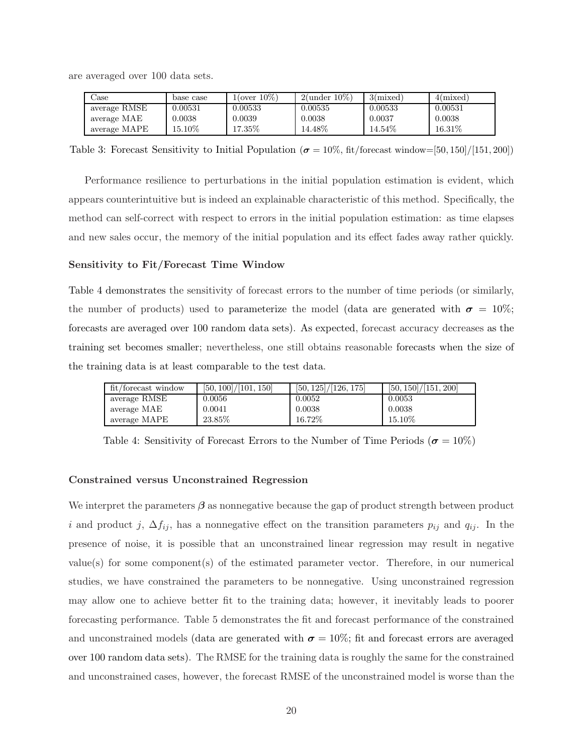are averaged over 100 data sets.

| Jase         | base case             | $1$ (over $10\%$ ) | $2$ (under $10\%$ ) | 3(mixed)     | 4(mixed)  |
|--------------|-----------------------|--------------------|---------------------|--------------|-----------|
| average RMSE | $\hphantom{-}0.00531$ | 0.00533            | 0.00535             | 0.00533      | 0.00531   |
| average MAE  | 0.0038                | 0.0039             | 0.0038              | $\,0.0037\,$ | 0.0038    |
| average MAPE | 15.10\%               | $17.35\%$          | 14.48%              | 14.54%       | $16.31\%$ |

Table 3: Forecast Sensitivity to Initial Population ( $\sigma = 10\%$ , fit/forecast window=[50, 150]/[151, 200])

Performance resilience to perturbations in the initial population estimation is evident, which appears counterintuitive but is indeed an explainable characteristic of this method. Specifically, the method can self-correct with respect to errors in the initial population estimation: as time elapses and new sales occur, the memory of the initial population and its effect fades away rather quickly.

#### **Sensitivity to Fit/Forecast Time Window**

Table 4 demonstrates the sensitivity of forecast errors to the number of time periods (or similarly, the number of products) used to parameterize the model (data are generated with  $\sigma = 10\%$ ; forecasts are averaged over 100 random data sets). As expected, forecast accuracy decreases as the training set becomes smaller; nevertheless, one still obtains reasonable forecasts when the size of the training data is at least comparable to the test data.

| fit/forecast window | [50, 100]/[101, 150] | [50, 125]/[126, 175] | [50, 150]/[151, 200] |
|---------------------|----------------------|----------------------|----------------------|
| average RMSE        | 0.0056               | 0.0052               | 0.0053               |
| average MAE         | 0.0041               | 0.0038               | 0.0038               |
| average MAPE        | $23.85\%$            | 16.72\%              | $15.10\%$            |

Table 4: Sensitivity of Forecast Errors to the Number of Time Periods ( $\sigma = 10\%$ )

#### **Constrained versus Unconstrained Regression**

We interpret the parameters  $\beta$  as nonnegative because the gap of product strength between product i and product j,  $\Delta f_{ij}$ , has a nonnegative effect on the transition parameters  $p_{ij}$  and  $q_{ij}$ . In the presence of noise, it is possible that an unconstrained linear regression may result in negative value(s) for some component(s) of the estimated parameter vector. Therefore, in our numerical studies, we have constrained the parameters to be nonnegative. Using unconstrained regression may allow one to achieve better fit to the training data; however, it inevitably leads to poorer forecasting performance. Table 5 demonstrates the fit and forecast performance of the constrained and unconstrained models (data are generated with  $\sigma = 10\%$ ; fit and forecast errors are averaged over 100 random data sets). The RMSE for the training data is roughly the same for the constrained and unconstrained cases, however, the forecast RMSE of the unconstrained model is worse than the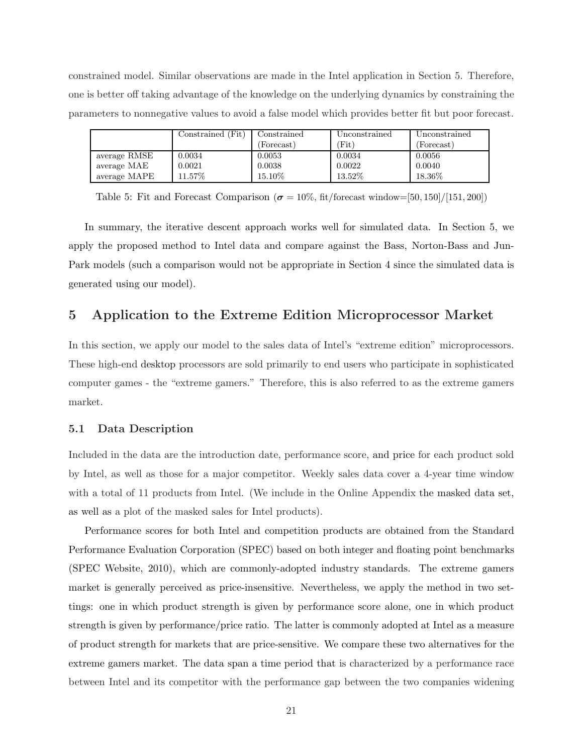constrained model. Similar observations are made in the Intel application in Section 5. Therefore, one is better off taking advantage of the knowledge on the underlying dynamics by constraining the parameters to nonnegative values to avoid a false model which provides better fit but poor forecast.

|              | Constrained (Fit) | Constrained<br>$(\text{Forecast})$ | Unconstrained<br>Fit) | Unconstrained<br>(Forecast) |
|--------------|-------------------|------------------------------------|-----------------------|-----------------------------|
| average RMSE | 0.0034            | 0.0053                             | 0.0034                | 0.0056                      |
| average MAE  | 0.0021            | 0.0038                             | 0.0022                | 0.0040                      |
| average MAPE | 11.57%            | 15.10%                             | 13.52\%               | $18.36\%$                   |

Table 5: Fit and Forecast Comparison ( $\sigma = 10\%$ , fit/forecast window=[50, 150]/[151, 200])

In summary, the iterative descent approach works well for simulated data. In Section 5, we apply the proposed method to Intel data and compare against the Bass, Norton-Bass and Jun-Park models (such a comparison would not be appropriate in Section 4 since the simulated data is generated using our model).

# **5 Application to the Extreme Edition Microprocessor Market**

In this section, we apply our model to the sales data of Intel's "extreme edition" microprocessors. These high-end desktop processors are sold primarily to end users who participate in sophisticated computer games - the "extreme gamers." Therefore, this is also referred to as the extreme gamers market.

## **5.1 Data Description**

Included in the data are the introduction date, performance score, and price for each product sold by Intel, as well as those for a major competitor. Weekly sales data cover a 4-year time window with a total of 11 products from Intel. (We include in the Online Appendix the masked data set, as well as a plot of the masked sales for Intel products).

Performance scores for both Intel and competition products are obtained from the Standard Performance Evaluation Corporation (SPEC) based on both integer and floating point benchmarks (SPEC Website, 2010), which are commonly-adopted industry standards. The extreme gamers market is generally perceived as price-insensitive. Nevertheless, we apply the method in two settings: one in which product strength is given by performance score alone, one in which product strength is given by performance/price ratio. The latter is commonly adopted at Intel as a measure of product strength for markets that are price-sensitive. We compare these two alternatives for the extreme gamers market. The data span a time period that is characterized by a performance race between Intel and its competitor with the performance gap between the two companies widening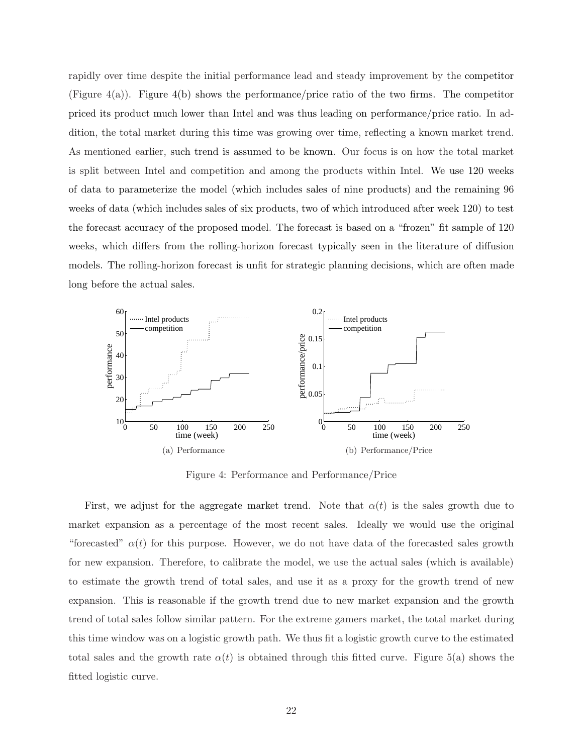rapidly over time despite the initial performance lead and steady improvement by the competitor (Figure 4(a)). Figure 4(b) shows the performance/price ratio of the two firms. The competitor priced its product much lower than Intel and was thus leading on performance/price ratio. In addition, the total market during this time was growing over time, reflecting a known market trend. As mentioned earlier, such trend is assumed to be known. Our focus is on how the total market is split between Intel and competition and among the products within Intel. We use 120 weeks of data to parameterize the model (which includes sales of nine products) and the remaining 96 weeks of data (which includes sales of six products, two of which introduced after week 120) to test the forecast accuracy of the proposed model. The forecast is based on a "frozen" fit sample of 120 weeks, which differs from the rolling-horizon forecast typically seen in the literature of diffusion models. The rolling-horizon forecast is unfit for strategic planning decisions, which are often made long before the actual sales.



Figure 4: Performance and Performance/Price

First, we adjust for the aggregate market trend. Note that  $\alpha(t)$  is the sales growth due to market expansion as a percentage of the most recent sales. Ideally we would use the original "forecasted"  $\alpha(t)$  for this purpose. However, we do not have data of the forecasted sales growth for new expansion. Therefore, to calibrate the model, we use the actual sales (which is available) to estimate the growth trend of total sales, and use it as a proxy for the growth trend of new expansion. This is reasonable if the growth trend due to new market expansion and the growth trend of total sales follow similar pattern. For the extreme gamers market, the total market during this time window was on a logistic growth path. We thus fit a logistic growth curve to the estimated total sales and the growth rate  $\alpha(t)$  is obtained through this fitted curve. Figure 5(a) shows the fitted logistic curve.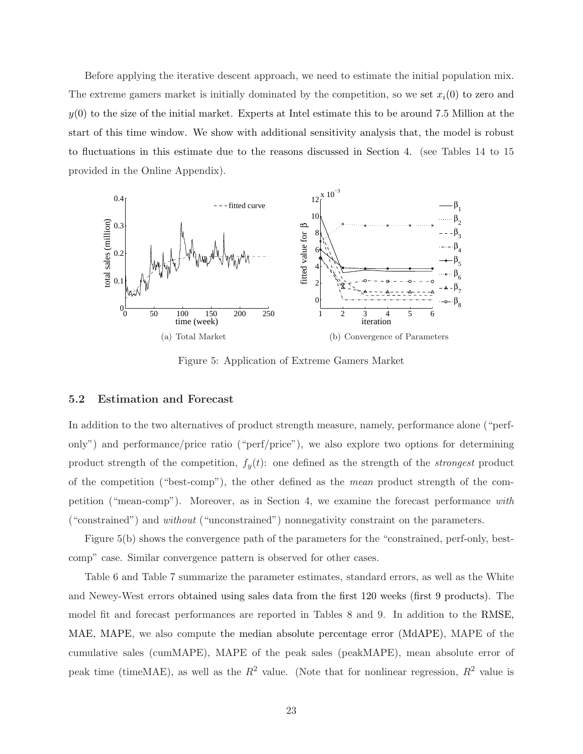Before applying the iterative descent approach, we need to estimate the initial population mix. The extreme gamers market is initially dominated by the competition, so we set  $x_i(0)$  to zero and  $y(0)$  to the size of the initial market. Experts at Intel estimate this to be around 7.5 Million at the start of this time window. We show with additional sensitivity analysis that, the model is robust to fluctuations in this estimate due to the reasons discussed in Section 4. (see Tables 14 to 15 provided in the Online Appendix).



Figure 5: Application of Extreme Gamers Market

## **5.2 Estimation and Forecast**

In addition to the two alternatives of product strength measure, namely, performance alone ("perfonly") and performance/price ratio ("perf/price"), we also explore two options for determining product strength of the competition,  $f_y(t)$ : one defined as the strength of the *strongest* product of the competition ("best-comp"), the other defined as the *mean* product strength of the competition ("mean-comp"). Moreover, as in Section 4, we examine the forecast performance *with* ("constrained") and *without* ("unconstrained") nonnegativity constraint on the parameters.

Figure 5(b) shows the convergence path of the parameters for the "constrained, perf-only, bestcomp" case. Similar convergence pattern is observed for other cases.

Table 6 and Table 7 summarize the parameter estimates, standard errors, as well as the White and Newey-West errors obtained using sales data from the first 120 weeks (first 9 products). The model fit and forecast performances are reported in Tables 8 and 9. In addition to the RMSE, MAE, MAPE, we also compute the median absolute percentage error (MdAPE), MAPE of the cumulative sales (cumMAPE), MAPE of the peak sales (peakMAPE), mean absolute error of peak time (timeMAE), as well as the  $R^2$  value. (Note that for nonlinear regression,  $R^2$  value is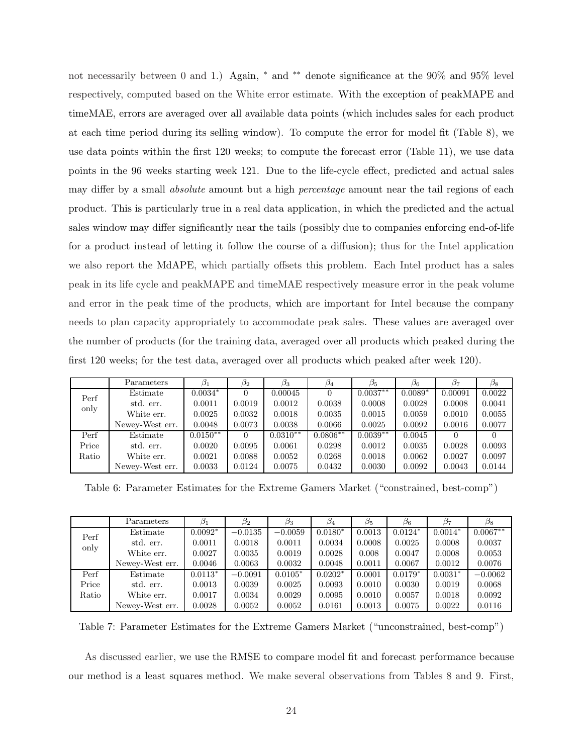not necessarily between 0 and 1.) Again, <sup>∗</sup> and <sup>∗∗</sup> denote significance at the 90% and 95% level respectively, computed based on the White error estimate. With the exception of peakMAPE and timeMAE, errors are averaged over all available data points (which includes sales for each product at each time period during its selling window). To compute the error for model fit (Table 8), we use data points within the first 120 weeks; to compute the forecast error (Table 11), we use data points in the 96 weeks starting week 121. Due to the life-cycle effect, predicted and actual sales may differ by a small *absolute* amount but a high *percentage* amount near the tail regions of each product. This is particularly true in a real data application, in which the predicted and the actual sales window may differ significantly near the tails (possibly due to companies enforcing end-of-life for a product instead of letting it follow the course of a diffusion); thus for the Intel application we also report the MdAPE, which partially offsets this problem. Each Intel product has a sales peak in its life cycle and peakMAPE and timeMAE respectively measure error in the peak volume and error in the peak time of the products, which are important for Intel because the company needs to plan capacity appropriately to accommodate peak sales. These values are averaged over the number of products (for the training data, averaged over all products which peaked during the first 120 weeks; for the test data, averaged over all products which peaked after week 120).

|             | Parameters      |            | $\beta_2$ | $\beta_3$  | ρ4         | Ο5         | $\beta_6$ |              | $\beta$ 8 |
|-------------|-----------------|------------|-----------|------------|------------|------------|-----------|--------------|-----------|
| Perf        | Estimate        | $0.0034*$  | $\Omega$  | 0.00045    |            | $0.0037**$ | $0.0089*$ | 0.00091      | 0.0022    |
| only        | std. err.       | 0.0011     | 0.0019    | 0.0012     | 0.0038     | 0.0008     | 0.0028    | 0.0008       | 0.0041    |
|             | White err.      | 0.0025     | 0.0032    | 0.0018     | 0.0035     | 0.0015     | 0.0059    | 0.0010       | 0.0055    |
|             | Newey-West err. | 0.0048     | 0.0073    | 0.0038     | 0.0066     | 0.0025     | 0.0092    | 0.0016       | 0.0077    |
| $\rm{Perf}$ | Estimate        | $0.0150**$ | $\Omega$  | $0.0310**$ | $0.0806**$ | $0.0039**$ | 0.0045    | $\mathbf{0}$ | $\left($  |
| Price       | std. err.       | 0.0020     | 0.0095    | 0.0061     | 0.0298     | 0.0012     | 0.0035    | 0.0028       | 0.0093    |
| Ratio       | White err.      | 0.0021     | 0.0088    | 0.0052     | 0.0268     | 0.0018     | 0.0062    | 0.0027       | 0.0097    |
|             | Newey-West err. | 0.0033     | 0.0124    | 0.0075     | 0.0432     | 0.0030     | 0.0092    | 0.0043       | 0.0144    |

Table 6: Parameter Estimates for the Extreme Gamers Market ("constrained, best-comp")

|       | Parameters      | $\beta_1$ | Ο2        | Ρ3        | $\beta_4$ | $\beta_5$ | Ø6        | $\beta_7$ | Ρ8          |
|-------|-----------------|-----------|-----------|-----------|-----------|-----------|-----------|-----------|-------------|
| Perf  | Estimate        | $0.0092*$ | $-0.0135$ | $-0.0059$ | $0.0180*$ | 0.0013    | $0.0124*$ | $0.0014*$ | $0.0067***$ |
| only  | std. err.       | 0.0011    | 0.0018    | 0.0011    | 0.0034    | 0.0008    | 0.0025    | 0.0008    | 0.0037      |
|       | White err.      | 0.0027    | 0.0035    | 0.0019    | 0.0028    | 0.008     | 0.0047    | 0.0008    | 0.0053      |
|       | Newey-West err. | 0.0046    | 0.0063    | 0.0032    | 0.0048    | 0.0011    | 0.0067    | 0.0012    | 0.0076      |
| Perf  | Estimate        | $0.0113*$ | $-0.0091$ | $0.0105*$ | $0.0202*$ | 0.0001    | $0.0179*$ | $0.0031*$ | $-0.0062$   |
| Price | std. err.       | 0.0013    | 0.0039    | 0.0025    | 0.0093    | 0.0010    | 0.0030    | 0.0019    | 0.0068      |
| Ratio | White err.      | 0.0017    | 0.0034    | 0.0029    | 0.0095    | 0.0010    | 0.0057    | 0.0018    | 0.0092      |
|       | Newey-West err. | 0.0028    | 0.0052    | 0.0052    | 0.0161    | 0.0013    | 0.0075    | 0.0022    | 0.0116      |

Table 7: Parameter Estimates for the Extreme Gamers Market ("unconstrained, best-comp")

As discussed earlier, we use the RMSE to compare model fit and forecast performance because our method is a least squares method. We make several observations from Tables 8 and 9. First,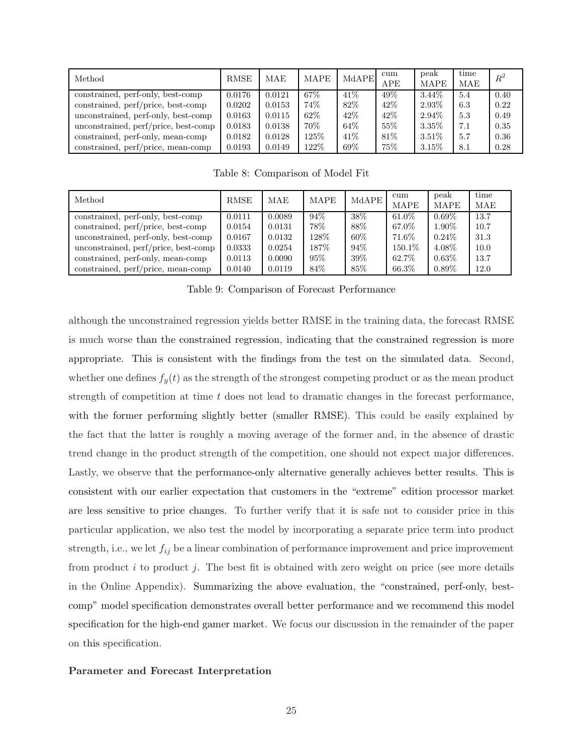| Method                               | <b>RMSE</b> | <b>MAE</b> | <b>MAPE</b> | MdAPE | cum<br>APE | peak<br><b>MAPE</b> | time<br>MAE | $R^2$ |
|--------------------------------------|-------------|------------|-------------|-------|------------|---------------------|-------------|-------|
| constrained, perf-only, best-comp    | 0.0176      | 0.0121     | 67\%        | 41\%  | 49\%       | $3.44\%$            | 5.4         | 0.40  |
| constrained, perf/price, best-comp   | 0.0202      | 0.0153     | 74%         | 82\%  | $42\%$     | 2.93%               | 6.3         | 0.22  |
| unconstrained, perf-only, best-comp  | 0.0163      | 0.0115     | 62\%        | 42\%  | $42\%$     | $2.94\%$            | 5.3         | 0.49  |
| unconstrained, perf/price, best-comp | 0.0183      | 0.0138     | 70%         | 64\%  | 55\%       | $3.35\%$            | 7.1         | 0.35  |
| constrained, perf-only, mean-comp    | 0.0182      | 0.0128     | 125\%       | 41\%  | 81\%       | $3.51\%$            | 5.7         | 0.36  |
| constrained, perf/price, mean-comp   | 0.0193      | 0.0149     | 122\%       | 69%   | 75\%       | 3.15%               | 8.1         | 0.28  |

Table 8: Comparison of Model Fit

| Method                               | <b>RMSE</b> | MAE    | <b>MAPE</b> | MdAPE  | cum         | peak        | time |
|--------------------------------------|-------------|--------|-------------|--------|-------------|-------------|------|
|                                      |             |        |             |        | <b>MAPE</b> | <b>MAPE</b> | MAE  |
| constrained, perf-only, best-comp    | 0.0111      | 0.0089 | 94%         | 38\%   | 61.0%       | $0.69\%$    | 13.7 |
| constrained, perf/price, best-comp   | 0.0154      | 0.0131 | 78%         | 88\%   | 67.0%       | $1.90\%$    | 10.7 |
| unconstrained, perf-only, best-comp  | 0.0167      | 0.0132 | 128\%       | $60\%$ | 71.6%       | $0.24\%$    | 31.3 |
| unconstrained, perf/price, best-comp | 0.0333      | 0.0254 | 187\%       | 94%    | 150.1\%     | 4.08%       | 10.0 |
| constrained, perf-only, mean-comp    | 0.0113      | 0.0090 | 95%         | 39\%   | 62.7%       | $0.63\%$    | 13.7 |
| constrained, perf/price, mean-comp   | 0.0140      | 0.0119 | 84\%        | 85\%   | 66.3%       | $0.89\%$    | 12.0 |

Table 9: Comparison of Forecast Performance

although the unconstrained regression yields better RMSE in the training data, the forecast RMSE is much worse than the constrained regression, indicating that the constrained regression is more appropriate. This is consistent with the findings from the test on the simulated data. Second, whether one defines  $f_y(t)$  as the strength of the strongest competing product or as the mean product strength of competition at time  $t$  does not lead to dramatic changes in the forecast performance, with the former performing slightly better (smaller RMSE). This could be easily explained by the fact that the latter is roughly a moving average of the former and, in the absence of drastic trend change in the product strength of the competition, one should not expect major differences. Lastly, we observe that the performance-only alternative generally achieves better results. This is consistent with our earlier expectation that customers in the "extreme" edition processor market are less sensitive to price changes. To further verify that it is safe not to consider price in this particular application, we also test the model by incorporating a separate price term into product strength, i.e., we let  $f_{ij}$  be a linear combination of performance improvement and price improvement from product i to product j. The best fit is obtained with zero weight on price (see more details in the Online Appendix). Summarizing the above evaluation, the "constrained, perf-only, bestcomp" model specification demonstrates overall better performance and we recommend this model specification for the high-end gamer market. We focus our discussion in the remainder of the paper on this specification.

#### **Parameter and Forecast Interpretation**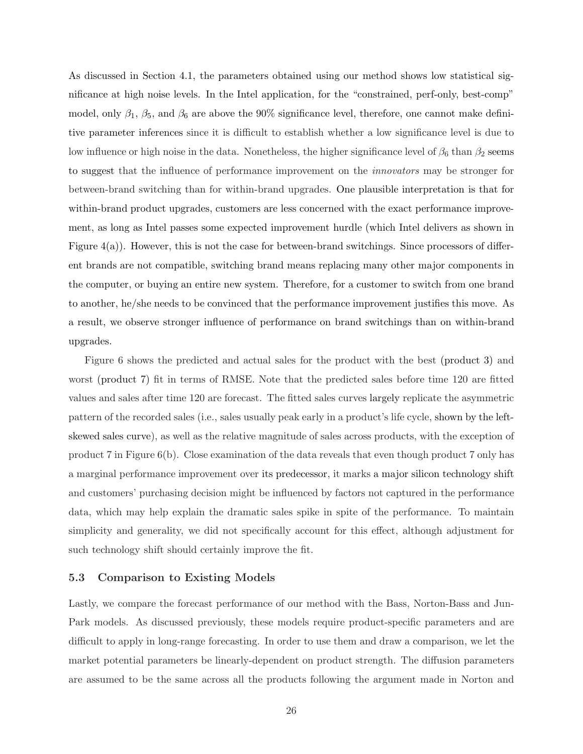As discussed in Section 4.1, the parameters obtained using our method shows low statistical significance at high noise levels. In the Intel application, for the "constrained, perf-only, best-comp" model, only  $\beta_1$ ,  $\beta_5$ , and  $\beta_6$  are above the 90% significance level, therefore, one cannot make definitive parameter inferences since it is difficult to establish whether a low significance level is due to low influence or high noise in the data. Nonetheless, the higher significance level of  $\beta_6$  than  $\beta_2$  seems to suggest that the influence of performance improvement on the *innovators* may be stronger for between-brand switching than for within-brand upgrades. One plausible interpretation is that for within-brand product upgrades, customers are less concerned with the exact performance improvement, as long as Intel passes some expected improvement hurdle (which Intel delivers as shown in Figure 4(a)). However, this is not the case for between-brand switchings. Since processors of different brands are not compatible, switching brand means replacing many other major components in the computer, or buying an entire new system. Therefore, for a customer to switch from one brand to another, he/she needs to be convinced that the performance improvement justifies this move. As a result, we observe stronger influence of performance on brand switchings than on within-brand upgrades.

Figure 6 shows the predicted and actual sales for the product with the best (product 3) and worst (product 7) fit in terms of RMSE. Note that the predicted sales before time 120 are fitted values and sales after time 120 are forecast. The fitted sales curves largely replicate the asymmetric pattern of the recorded sales (i.e., sales usually peak early in a product's life cycle, shown by the leftskewed sales curve), as well as the relative magnitude of sales across products, with the exception of product 7 in Figure 6(b). Close examination of the data reveals that even though product 7 only has a marginal performance improvement over its predecessor, it marks a major silicon technology shift and customers' purchasing decision might be influenced by factors not captured in the performance data, which may help explain the dramatic sales spike in spite of the performance. To maintain simplicity and generality, we did not specifically account for this effect, although adjustment for such technology shift should certainly improve the fit.

#### **5.3 Comparison to Existing Models**

Lastly, we compare the forecast performance of our method with the Bass, Norton-Bass and Jun-Park models. As discussed previously, these models require product-specific parameters and are difficult to apply in long-range forecasting. In order to use them and draw a comparison, we let the market potential parameters be linearly-dependent on product strength. The diffusion parameters are assumed to be the same across all the products following the argument made in Norton and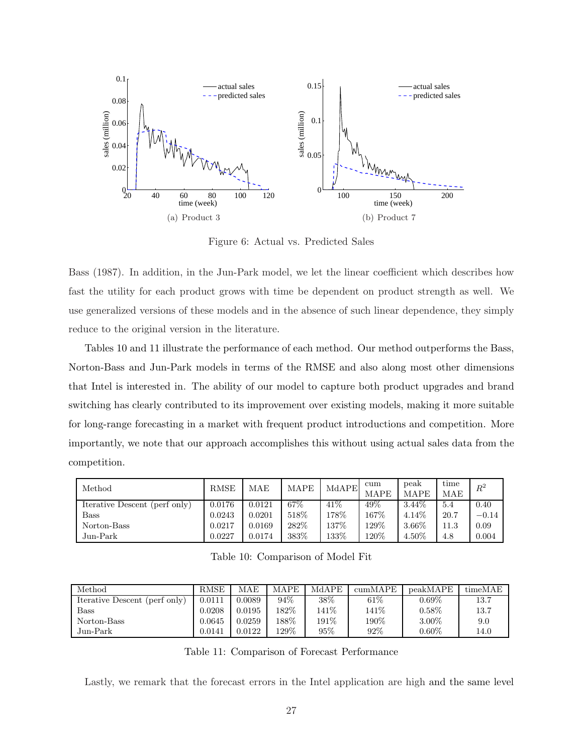

Figure 6: Actual vs. Predicted Sales

Bass (1987). In addition, in the Jun-Park model, we let the linear coefficient which describes how fast the utility for each product grows with time be dependent on product strength as well. We use generalized versions of these models and in the absence of such linear dependence, they simply reduce to the original version in the literature.

Tables 10 and 11 illustrate the performance of each method. Our method outperforms the Bass, Norton-Bass and Jun-Park models in terms of the RMSE and also along most other dimensions that Intel is interested in. The ability of our model to capture both product upgrades and brand switching has clearly contributed to its improvement over existing models, making it more suitable for long-range forecasting in a market with frequent product introductions and competition. More importantly, we note that our approach accomplishes this without using actual sales data from the competition.

| Method                        | <b>RMSE</b> | <b>MAE</b> | <b>MAPE</b> | MdAPE | cum<br><b>MAPE</b> | peak<br><b>MAPE</b> | time<br>MAE | $R^2$     |
|-------------------------------|-------------|------------|-------------|-------|--------------------|---------------------|-------------|-----------|
| Iterative Descent (perf only) | 0.0176      | 0.0121     | 67\%        | 41\%  | 49%                | $3.44\%$            | 5.4         | 0.40      |
| Bass                          | 0.0243      | 0.0201     | 518\%       | 178%  | 167%               | 4.14\%              | 20.7        | $-0.14\,$ |
| Norton-Bass                   | 0.0217      | 0.0169     | 282\%       | 137%  | 129\%              | $3.66\%$            | 11.3        | 0.09      |
| Jun-Park                      | 0.0227      | 0.0174     | 383\%       | 133%  | 120%               | $4.50\%$            | 4.8         | 0.004     |

Table 10: Comparison of Model Fit

| Method                        | RMSE   | MAE    | <b>MAPE</b> | MdAPE   | cumMAPE | peakMAPE | timeMAE |
|-------------------------------|--------|--------|-------------|---------|---------|----------|---------|
| Iterative Descent (perf only) | 0.0111 | 0.0089 | 94%         | $38\%$  | 61%     | $0.69\%$ | 13.7    |
| Bass                          | 0.0208 | 0.0195 | $182\%$     | $141\%$ | 141%    | $0.58\%$ | 13.7    |
| Norton-Bass                   | 0.0645 | 0.0259 | 188%        | $191\%$ | 190%    | $3.00\%$ | 9.0     |
| Jun-Park                      | 0.0141 | 0.0122 | 129\%       | 95%     | 92%     | $0.60\%$ | 14.0    |

Table 11: Comparison of Forecast Performance

Lastly, we remark that the forecast errors in the Intel application are high and the same level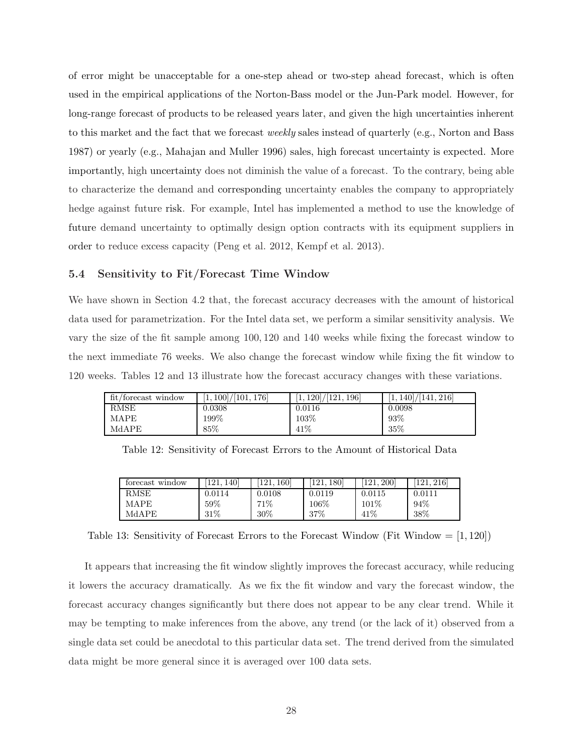of error might be unacceptable for a one-step ahead or two-step ahead forecast, which is often used in the empirical applications of the Norton-Bass model or the Jun-Park model. However, for long-range forecast of products to be released years later, and given the high uncertainties inherent to this market and the fact that we forecast *weekly* sales instead of quarterly (e.g., Norton and Bass 1987) or yearly (e.g., Mahajan and Muller 1996) sales, high forecast uncertainty is expected. More importantly, high uncertainty does not diminish the value of a forecast. To the contrary, being able to characterize the demand and corresponding uncertainty enables the company to appropriately hedge against future risk. For example, Intel has implemented a method to use the knowledge of future demand uncertainty to optimally design option contracts with its equipment suppliers in order to reduce excess capacity (Peng et al. 2012, Kempf et al. 2013).

### **5.4 Sensitivity to Fit/Forecast Time Window**

We have shown in Section 4.2 that, the forecast accuracy decreases with the amount of historical data used for parametrization. For the Intel data set, we perform a similar sensitivity analysis. We vary the size of the fit sample among 100, 120 and 140 weeks while fixing the forecast window to the next immediate 76 weeks. We also change the forecast window while fixing the fit window to 120 weeks. Tables 12 and 13 illustrate how the forecast accuracy changes with these variations.

| fit/forecast window | /[101.176]<br>. 100] / | [1, 120]/[121, 196] | $140$  /[141, 216] |
|---------------------|------------------------|---------------------|--------------------|
| RMSE                | 0.0308                 | 0.0116              | 0.0098             |
| MAPE                | $199\%$                | 103%                | 93%                |
| MdAPE               | 85%                    | 41\%                | 35%                |

Table 12: Sensitivity of Forecast Errors to the Amount of Historical Data

| torecast window | <b>140</b> | 160<br>121. | 180<br>121.  | <b>200</b> | 216<br>191 |
|-----------------|------------|-------------|--------------|------------|------------|
| RMSE            | 0.0114     | 0.0108      | $\,0.0119\,$ | 0.0115     | 0.0111     |
| MAPE            | $59\%$     | $71\%$      | 106\%        | 101\%      | 94%        |
| MdAPE           | $31\%$     | $30\%$      | 37%          | 41\%       | 38\%       |

Table 13: Sensitivity of Forecast Errors to the Forecast Window (Fit Window  $= [1, 120]$ )

It appears that increasing the fit window slightly improves the forecast accuracy, while reducing it lowers the accuracy dramatically. As we fix the fit window and vary the forecast window, the forecast accuracy changes significantly but there does not appear to be any clear trend. While it may be tempting to make inferences from the above, any trend (or the lack of it) observed from a single data set could be anecdotal to this particular data set. The trend derived from the simulated data might be more general since it is averaged over 100 data sets.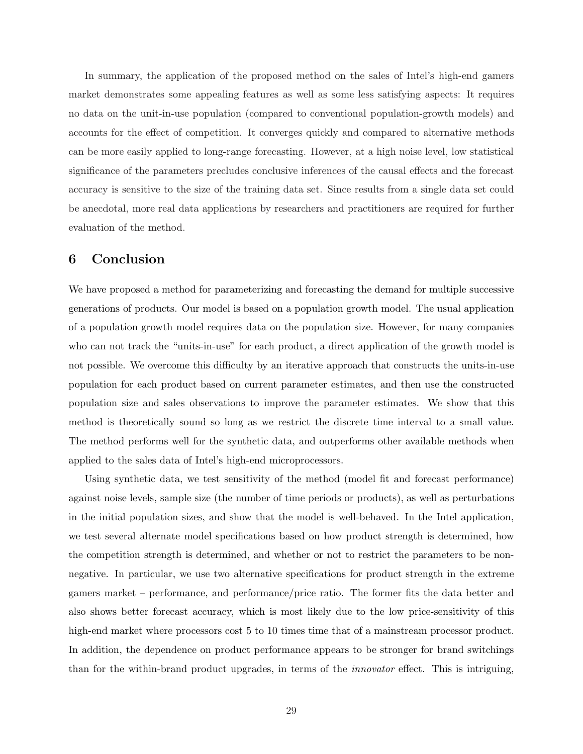In summary, the application of the proposed method on the sales of Intel's high-end gamers market demonstrates some appealing features as well as some less satisfying aspects: It requires no data on the unit-in-use population (compared to conventional population-growth models) and accounts for the effect of competition. It converges quickly and compared to alternative methods can be more easily applied to long-range forecasting. However, at a high noise level, low statistical significance of the parameters precludes conclusive inferences of the causal effects and the forecast accuracy is sensitive to the size of the training data set. Since results from a single data set could be anecdotal, more real data applications by researchers and practitioners are required for further evaluation of the method.

# **6 Conclusion**

We have proposed a method for parameterizing and forecasting the demand for multiple successive generations of products. Our model is based on a population growth model. The usual application of a population growth model requires data on the population size. However, for many companies who can not track the "units-in-use" for each product, a direct application of the growth model is not possible. We overcome this difficulty by an iterative approach that constructs the units-in-use population for each product based on current parameter estimates, and then use the constructed population size and sales observations to improve the parameter estimates. We show that this method is theoretically sound so long as we restrict the discrete time interval to a small value. The method performs well for the synthetic data, and outperforms other available methods when applied to the sales data of Intel's high-end microprocessors.

Using synthetic data, we test sensitivity of the method (model fit and forecast performance) against noise levels, sample size (the number of time periods or products), as well as perturbations in the initial population sizes, and show that the model is well-behaved. In the Intel application, we test several alternate model specifications based on how product strength is determined, how the competition strength is determined, and whether or not to restrict the parameters to be nonnegative. In particular, we use two alternative specifications for product strength in the extreme gamers market – performance, and performance/price ratio. The former fits the data better and also shows better forecast accuracy, which is most likely due to the low price-sensitivity of this high-end market where processors cost 5 to 10 times time that of a mainstream processor product. In addition, the dependence on product performance appears to be stronger for brand switchings than for the within-brand product upgrades, in terms of the *innovator* effect. This is intriguing,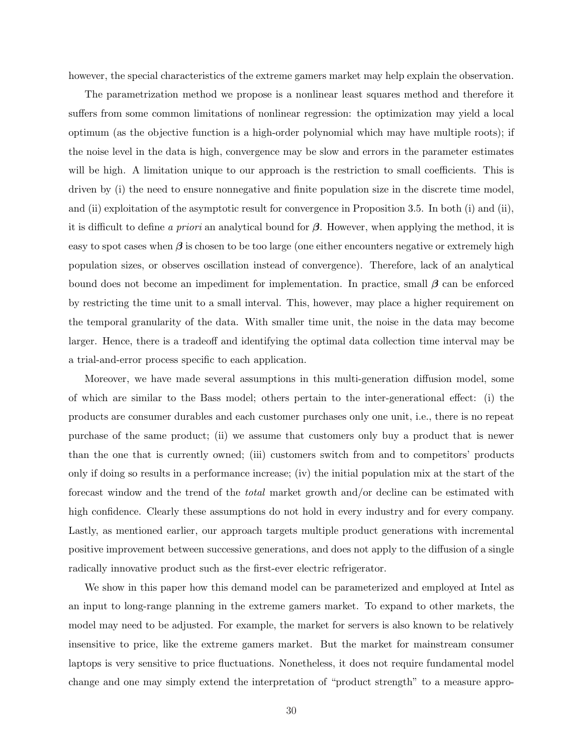however, the special characteristics of the extreme gamers market may help explain the observation.

The parametrization method we propose is a nonlinear least squares method and therefore it suffers from some common limitations of nonlinear regression: the optimization may yield a local optimum (as the objective function is a high-order polynomial which may have multiple roots); if the noise level in the data is high, convergence may be slow and errors in the parameter estimates will be high. A limitation unique to our approach is the restriction to small coefficients. This is driven by (i) the need to ensure nonnegative and finite population size in the discrete time model, and (ii) exploitation of the asymptotic result for convergence in Proposition 3.5. In both (i) and (ii), it is difficult to define *a priori* an analytical bound for *β*. However, when applying the method, it is easy to spot cases when  $\beta$  is chosen to be too large (one either encounters negative or extremely high population sizes, or observes oscillation instead of convergence). Therefore, lack of an analytical bound does not become an impediment for implementation. In practice, small *β* can be enforced by restricting the time unit to a small interval. This, however, may place a higher requirement on the temporal granularity of the data. With smaller time unit, the noise in the data may become larger. Hence, there is a tradeoff and identifying the optimal data collection time interval may be a trial-and-error process specific to each application.

Moreover, we have made several assumptions in this multi-generation diffusion model, some of which are similar to the Bass model; others pertain to the inter-generational effect: (i) the products are consumer durables and each customer purchases only one unit, i.e., there is no repeat purchase of the same product; (ii) we assume that customers only buy a product that is newer than the one that is currently owned; (iii) customers switch from and to competitors' products only if doing so results in a performance increase; (iv) the initial population mix at the start of the forecast window and the trend of the *total* market growth and/or decline can be estimated with high confidence. Clearly these assumptions do not hold in every industry and for every company. Lastly, as mentioned earlier, our approach targets multiple product generations with incremental positive improvement between successive generations, and does not apply to the diffusion of a single radically innovative product such as the first-ever electric refrigerator.

We show in this paper how this demand model can be parameterized and employed at Intel as an input to long-range planning in the extreme gamers market. To expand to other markets, the model may need to be adjusted. For example, the market for servers is also known to be relatively insensitive to price, like the extreme gamers market. But the market for mainstream consumer laptops is very sensitive to price fluctuations. Nonetheless, it does not require fundamental model change and one may simply extend the interpretation of "product strength" to a measure appro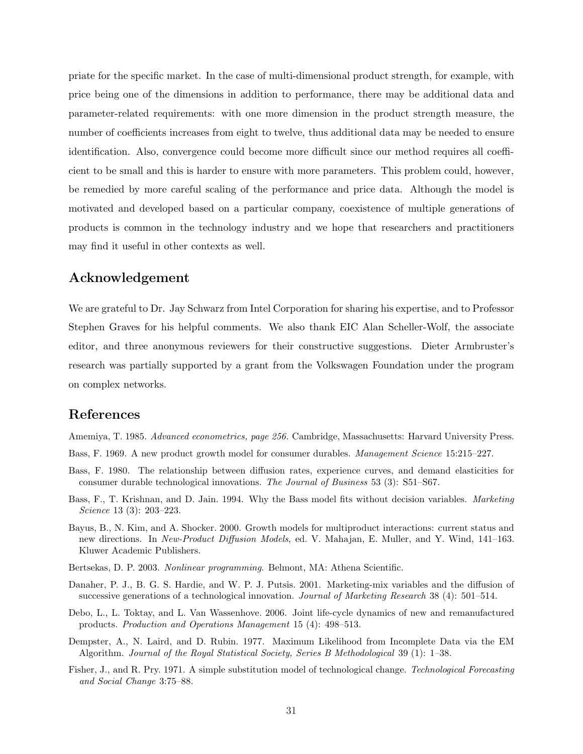priate for the specific market. In the case of multi-dimensional product strength, for example, with price being one of the dimensions in addition to performance, there may be additional data and parameter-related requirements: with one more dimension in the product strength measure, the number of coefficients increases from eight to twelve, thus additional data may be needed to ensure identification. Also, convergence could become more difficult since our method requires all coefficient to be small and this is harder to ensure with more parameters. This problem could, however, be remedied by more careful scaling of the performance and price data. Although the model is motivated and developed based on a particular company, coexistence of multiple generations of products is common in the technology industry and we hope that researchers and practitioners may find it useful in other contexts as well.

# **Acknowledgement**

We are grateful to Dr. Jay Schwarz from Intel Corporation for sharing his expertise, and to Professor Stephen Graves for his helpful comments. We also thank EIC Alan Scheller-Wolf, the associate editor, and three anonymous reviewers for their constructive suggestions. Dieter Armbruster's research was partially supported by a grant from the Volkswagen Foundation under the program on complex networks.

# **References**

Amemiya, T. 1985. *Advanced econometrics, page 256.* Cambridge, Massachusetts: Harvard University Press.

- Bass, F. 1969. A new product growth model for consumer durables. *Management Science* 15:215–227.
- Bass, F. 1980. The relationship between diffusion rates, experience curves, and demand elasticities for consumer durable technological innovations. *The Journal of Business* 53 (3): S51–S67.
- Bass, F., T. Krishnan, and D. Jain. 1994. Why the Bass model fits without decision variables. *Marketing Science* 13 (3): 203–223.
- Bayus, B., N. Kim, and A. Shocker. 2000. Growth models for multiproduct interactions: current status and new directions. In *New-Product Diffusion Models*, ed. V. Mahajan, E. Muller, and Y. Wind, 141–163. Kluwer Academic Publishers.
- Bertsekas, D. P. 2003. *Nonlinear programming*. Belmont, MA: Athena Scientific.
- Danaher, P. J., B. G. S. Hardie, and W. P. J. Putsis. 2001. Marketing-mix variables and the diffusion of successive generations of a technological innovation. *Journal of Marketing Research* 38 (4): 501–514.
- Debo, L., L. Toktay, and L. Van Wassenhove. 2006. Joint life-cycle dynamics of new and remanufactured products. *Production and Operations Management* 15 (4): 498–513.
- Dempster, A., N. Laird, and D. Rubin. 1977. Maximum Likelihood from Incomplete Data via the EM Algorithm. *Journal of the Royal Statistical Society, Series B Methodological* 39 (1): 1–38.
- Fisher, J., and R. Pry. 1971. A simple substitution model of technological change. *Technological Forecasting and Social Change* 3:75–88.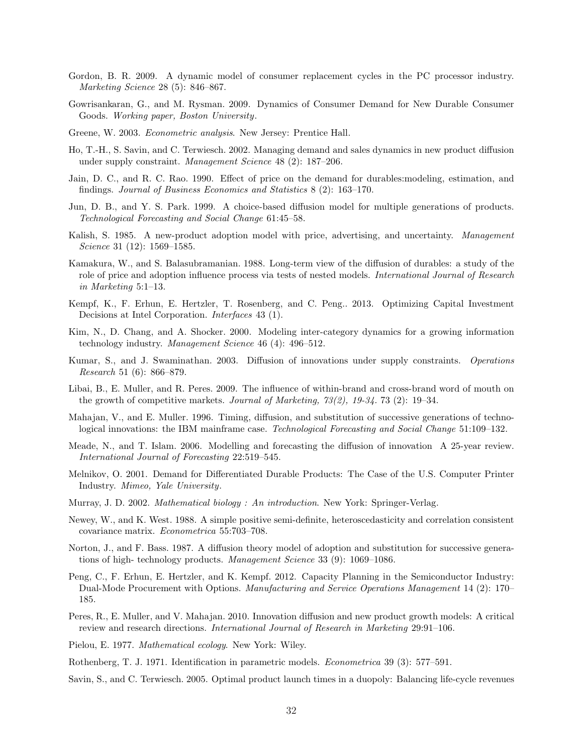- Gordon, B. R. 2009. A dynamic model of consumer replacement cycles in the PC processor industry. *Marketing Science* 28 (5): 846–867.
- Gowrisankaran, G., and M. Rysman. 2009. Dynamics of Consumer Demand for New Durable Consumer Goods. *Working paper, Boston University*.
- Greene, W. 2003. *Econometric analysis*. New Jersey: Prentice Hall.
- Ho, T.-H., S. Savin, and C. Terwiesch. 2002. Managing demand and sales dynamics in new product diffusion under supply constraint. *Management Science* 48 (2): 187–206.
- Jain, D. C., and R. C. Rao. 1990. Effect of price on the demand for durables:modeling, estimation, and findings. *Journal of Business Economics and Statistics* 8 (2): 163–170.
- Jun, D. B., and Y. S. Park. 1999. A choice-based diffusion model for multiple generations of products. *Technological Forecasting and Social Change* 61:45–58.
- Kalish, S. 1985. A new-product adoption model with price, advertising, and uncertainty. *Management Science* 31 (12): 1569–1585.
- Kamakura, W., and S. Balasubramanian. 1988. Long-term view of the diffusion of durables: a study of the role of price and adoption influence process via tests of nested models. *International Journal of Research in Marketing* 5:1–13.
- Kempf, K., F. Erhun, E. Hertzler, T. Rosenberg, and C. Peng.. 2013. Optimizing Capital Investment Decisions at Intel Corporation. *Interfaces* 43 (1).
- Kim, N., D. Chang, and A. Shocker. 2000. Modeling inter-category dynamics for a growing information technology industry. *Management Science* 46 (4): 496–512.
- Kumar, S., and J. Swaminathan. 2003. Diffusion of innovations under supply constraints. *Operations Research* 51 (6): 866–879.
- Libai, B., E. Muller, and R. Peres. 2009. The influence of within-brand and cross-brand word of mouth on the growth of competitive markets. *Journal of Marketing, 73(2), 19-34.* 73 (2): 19–34.
- Mahajan, V., and E. Muller. 1996. Timing, diffusion, and substitution of successive generations of technological innovations: the IBM mainframe case. *Technological Forecasting and Social Change* 51:109–132.
- Meade, N., and T. Islam. 2006. Modelling and forecasting the diffusion of innovation A 25-year review. *International Journal of Forecasting* 22:519–545.
- Melnikov, O. 2001. Demand for Differentiated Durable Products: The Case of the U.S. Computer Printer Industry. *Mimeo, Yale University*.
- Murray, J. D. 2002. *Mathematical biology : An introduction*. New York: Springer-Verlag.
- Newey, W., and K. West. 1988. A simple positive semi-definite, heteroscedasticity and correlation consistent covariance matrix. *Econometrica* 55:703–708.
- Norton, J., and F. Bass. 1987. A diffusion theory model of adoption and substitution for successive generations of high- technology products. *Management Science* 33 (9): 1069–1086.
- Peng, C., F. Erhun, E. Hertzler, and K. Kempf. 2012. Capacity Planning in the Semiconductor Industry: Dual-Mode Procurement with Options. *Manufacturing and Service Operations Management* 14 (2): 170– 185.
- Peres, R., E. Muller, and V. Mahajan. 2010. Innovation diffusion and new product growth models: A critical review and research directions. *International Journal of Research in Marketing* 29:91–106.
- Pielou, E. 1977. *Mathematical ecology*. New York: Wiley.
- Rothenberg, T. J. 1971. Identification in parametric models. *Econometrica* 39 (3): 577–591.
- Savin, S., and C. Terwiesch. 2005. Optimal product launch times in a duopoly: Balancing life-cycle revenues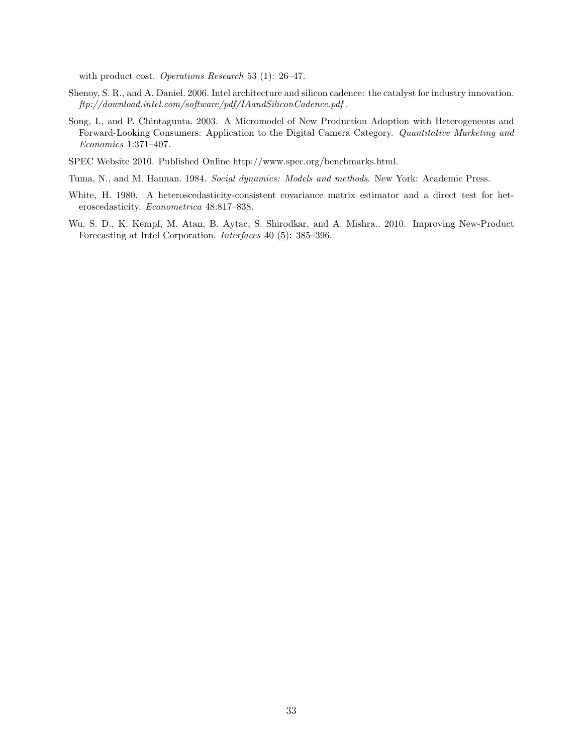with product cost. *Operations Research* 53 (1): 26–47.

- Shenoy, S. R., and A. Daniel. 2006. Intel architecture and silicon cadence: the catalyst for industry innovation. *ftp://download.intel.com/software/pdf/IAandSiliconCadence.pdf* .
- Song, I., and P. Chintagunta. 2003. A Micromodel of New Production Adoption with Heterogeneous and Forward-Looking Consumers: Application to the Digital Camera Category. *Quantitative Marketing and Economics* 1:371–407.
- SPEC Website 2010. Published Online http://www.spec.org/benchmarks.html.
- Tuma, N., and M. Hannan. 1984. *Social dynamics: Models and methods*. New York: Academic Press.
- White, H. 1980. A heteroscedasticity-consistent covariance matrix estimator and a direct test for heteroscedasticity. *Econometrica* 48:817–838.
- Wu, S. D., K. Kempf, M. Atan, B. Aytac, S. Shirodkar, and A. Mishra.. 2010. Improving New-Product Forecasting at Intel Corporation. *Interfaces* 40 (5): 385–396.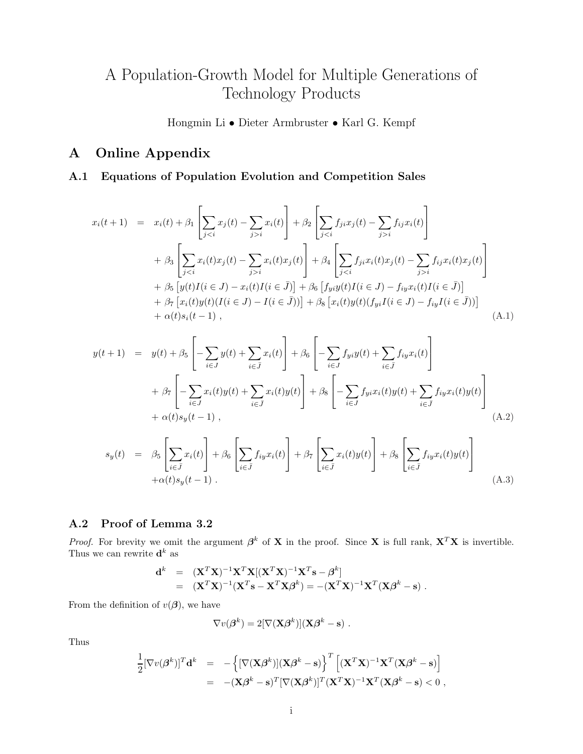# A Population-Growth Model for Multiple Generations of Technology Products

Hongmin Li • Dieter Armbruster • Karl G. Kempf

# **A Online Appendix**

## **A.1 Equations of Population Evolution and Competition Sales**

$$
x_i(t+1) = x_i(t) + \beta_1 \left[ \sum_{j < i} x_j(t) - \sum_{j > i} x_i(t) \right] + \beta_2 \left[ \sum_{j < i} f_{ji} x_j(t) - \sum_{j > i} f_{ij} x_i(t) \right] + \beta_3 \left[ \sum_{j < i} x_i(t) x_j(t) - \sum_{j > i} x_i(t) x_j(t) \right] + \beta_4 \left[ \sum_{j < i} f_{ji} x_i(t) x_j(t) - \sum_{j > i} f_{ij} x_i(t) x_j(t) \right] + \beta_5 \left[ y(t) I(i \in J) - x_i(t) I(i \in \bar{J}) \right] + \beta_6 \left[ f_{yi} y(t) I(i \in J) - f_{iy} x_i(t) I(i \in \bar{J}) \right] + \beta_7 \left[ x_i(t) y(t) (I(i \in J) - I(i \in \bar{J})) \right] + \beta_8 \left[ x_i(t) y(t) (f_{yi} I(i \in J) - f_{iy} I(i \in \bar{J})) \right] + \alpha(t) s_i(t-1), \tag{A.1}
$$

$$
y(t+1) = y(t) + \beta_5 \left[ -\sum_{i \in J} y(t) + \sum_{i \in J} x_i(t) \right] + \beta_6 \left[ -\sum_{i \in J} f_{yi} y(t) + \sum_{i \in J} f_{iy} x_i(t) \right] + \beta_7 \left[ -\sum_{i \in J} x_i(t) y(t) + \sum_{i \in J} x_i(t) y(t) \right] + \beta_8 \left[ -\sum_{i \in J} f_{yi} x_i(t) y(t) + \sum_{i \in J} f_{iy} x_i(t) y(t) \right] + \alpha(t) s_y(t-1) , \qquad (A.2)
$$

$$
s_y(t) = \beta_5 \left[ \sum_{i \in \bar{J}} x_i(t) \right] + \beta_6 \left[ \sum_{i \in \bar{J}} f_{iy} x_i(t) \right] + \beta_7 \left[ \sum_{i \in \bar{J}} x_i(t) y(t) \right] + \beta_8 \left[ \sum_{i \in \bar{J}} f_{iy} x_i(t) y(t) \right] + \alpha(t) s_y(t-1) \tag{A.3}
$$

# **A.2 Proof of Lemma 3.2**

*Proof.* For brevity we omit the argument  $\beta^k$  of **X** in the proof. Since **X** is full rank,  $X^T X$  is invertible. Thus we can rewrite  $\mathbf{d}^k$  as

$$
\mathbf{d}^k = (\mathbf{X}^T \mathbf{X})^{-1} \mathbf{X}^T \mathbf{X} [(\mathbf{X}^T \mathbf{X})^{-1} \mathbf{X}^T \mathbf{s} - \boldsymbol{\beta}^k]
$$
  
= 
$$
(\mathbf{X}^T \mathbf{X})^{-1} (\mathbf{X}^T \mathbf{s} - \mathbf{X}^T \mathbf{X} \boldsymbol{\beta}^k) = -(\mathbf{X}^T \mathbf{X})^{-1} \mathbf{X}^T (\mathbf{X} \boldsymbol{\beta}^k - \mathbf{s}) .
$$

From the definition of  $v(\boldsymbol{\beta})$ , we have

$$
\nabla v(\boldsymbol{\beta}^k) = 2[\nabla(\mathbf{X}\boldsymbol{\beta}^k)](\mathbf{X}\boldsymbol{\beta}^k - \mathbf{s}) .
$$

Thus

$$
\frac{1}{2}[\nabla v(\boldsymbol{\beta}^k)]^T \mathbf{d}^k = -\left\{ [\nabla (\mathbf{X}\boldsymbol{\beta}^k)](\mathbf{X}\boldsymbol{\beta}^k - \mathbf{s}) \right\}^T \left[ (\mathbf{X}^T \mathbf{X})^{-1} \mathbf{X}^T (\mathbf{X}\boldsymbol{\beta}^k - \mathbf{s}) \right] \n= -(\mathbf{X}\boldsymbol{\beta}^k - \mathbf{s})^T [\nabla (\mathbf{X}\boldsymbol{\beta}^k)]^T (\mathbf{X}^T \mathbf{X})^{-1} \mathbf{X}^T (\mathbf{X}\boldsymbol{\beta}^k - \mathbf{s}) < 0,
$$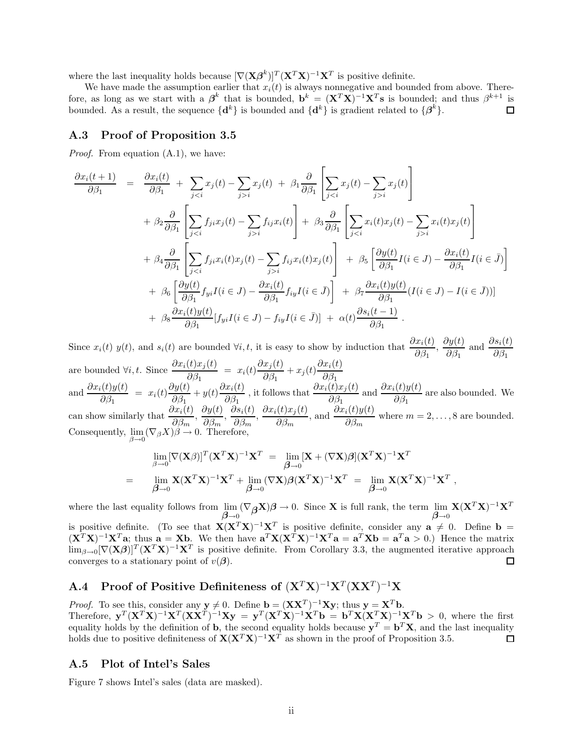where the last inequality holds because  $[\nabla (\mathbf{X}\boldsymbol{\beta}^k)]^T (\mathbf{X}^T\mathbf{X})^{-1} \mathbf{X}^T$  is positive definite.

We have made the assumption earlier that  $x_i(t)$  is always nonnegative and bounded from above. Therefore, as long as we start with a  $\beta^k$  that is bounded,  $\mathbf{b}^k = (\mathbf{X}^T \mathbf{X})^{-1} \mathbf{X}^T \mathbf{s}$  is bounded; and thus  $\beta^{k+1}$  is bounded. As a result, the sequence  $\{\mathbf{d}^k\}$  is bounded and  $\{\mathbf{d}^k\}$  is gradient related to  $\{\boldsymbol{\beta}^k\}$ . □

 $\mathbf{r}$ 

#### **A.3 Proof of Proposition 3.5**

*Proof.* From equation  $(A.1)$ , we have:

$$
\frac{\partial x_i(t+1)}{\partial \beta_1} = \frac{\partial x_i(t)}{\partial \beta_1} + \sum_{j < i} x_j(t) - \sum_{j > i} x_j(t) + \beta_1 \frac{\partial}{\partial \beta_1} \left[ \sum_{j < i} x_j(t) - \sum_{j > i} x_j(t) \right] \n+ \beta_2 \frac{\partial}{\partial \beta_1} \left[ \sum_{j < i} f_{ji} x_j(t) - \sum_{j > i} f_{ij} x_i(t) \right] + \beta_3 \frac{\partial}{\partial \beta_1} \left[ \sum_{j < i} x_i(t) x_j(t) - \sum_{j > i} x_i(t) x_j(t) \right] \n+ \beta_4 \frac{\partial}{\partial \beta_1} \left[ \sum_{j < i} f_{ji} x_i(t) x_j(t) - \sum_{j > i} f_{ij} x_i(t) x_j(t) \right] + \beta_5 \left[ \frac{\partial y(t)}{\partial \beta_1} I(i \in J) - \frac{\partial x_i(t)}{\partial \beta_1} I(i \in J) \right] \n+ \beta_6 \left[ \frac{\partial y(t)}{\partial \beta_1} f_{yi} I(i \in J) - \frac{\partial x_i(t)}{\partial \beta_1} f_{iy} I(i \in J) \right] + \beta_7 \frac{\partial x_i(t) y(t)}{\partial \beta_1} (I(i \in J) - I(i \in J)) \right] \n+ \beta_8 \frac{\partial x_i(t) y(t)}{\partial \beta_1} [f_{yi} I(i \in J) - f_{iy} I(i \in J)] + \alpha(t) \frac{\partial s_i(t-1)}{\partial \beta_1}.
$$

Since  $x_i(t)$   $y(t)$ , and  $s_i(t)$  are bounded  $\forall i, t$ , it is easy to show by induction that  $\frac{\partial x_i(t)}{\partial \beta_1}$ ,  $\frac{\partial y(t)}{\partial \beta_1}$  and  $\frac{\partial s_i(t)}{\partial \beta_1}$ are bounded  $\forall i, t$ . Since  $\frac{\partial x_i(t)x_j(t)}{\partial \beta_1} = x_i(t) \frac{\partial x_j(t)}{\partial \beta_1}$  $rac{x_j(t)}{\partial \beta_1} + x_j(t) \frac{\partial x_i(t)}{\partial \beta_1}$  $\partial \beta_1$ and  $\frac{\partial x_i(t)y(t)}{\partial \phi} = x_i(t)\frac{\partial y(t)}{\partial \phi} + y(t)\frac{\partial x_i(t)}{\partial \phi}$ , it follows that  $\frac{\partial x_i(t)x_j(t)}{\partial \phi}$  and  $\frac{\partial x_i(t)y(t)}{\partial \phi}$  are also bounded. We  $\partial \beta_1$   $\partial \beta_1$   $\partial \beta_1$   $\partial \beta_1$   $\partial \beta_2$   $\partial \beta_1$   $\partial \beta_1$ can show similarly that  $\frac{\partial x_i(t)}{\partial \beta_m}$ ,  $\frac{\partial y(t)}{\partial \beta_m}$ ,  $\frac{\partial s_i(t)}{\partial \beta_m}$ ,  $\frac{\partial x_i(t)x_j(t)}{\partial \beta_m}$ , and  $\frac{\partial x_i(t)y(t)}{\partial \beta_m}$  where  $m = 2, ..., 8$  are bounded. Consequently,  $\lim_{\beta \to 0} (\nabla_{\beta} X) \beta \to 0$ . Therefore,

$$
\lim_{\beta \to 0} [\nabla (\mathbf{X}\beta)]^T (\mathbf{X}^T \mathbf{X})^{-1} \mathbf{X}^T = \lim_{\beta \to 0} [\mathbf{X} + (\nabla \mathbf{X})\beta] (\mathbf{X}^T \mathbf{X})^{-1} \mathbf{X}^T
$$
\n
$$
= \lim_{\beta \to 0} \mathbf{X} (\mathbf{X}^T \mathbf{X})^{-1} \mathbf{X}^T + \lim_{\beta \to 0} (\nabla \mathbf{X})\beta (\mathbf{X}^T \mathbf{X})^{-1} \mathbf{X}^T = \lim_{\beta \to 0} \mathbf{X} (\mathbf{X}^T \mathbf{X})^{-1} \mathbf{X}^T,
$$

where the last equality follows from  $\lim_{\beta \to 0} (\nabla_{\beta} \mathbf{X})\beta \to 0$ . Since **X** is full rank, the term  $\lim_{\beta \to 0} \mathbf{X}(\mathbf{X}^T \mathbf{X})^{-1} \mathbf{X}^T$ is positive definite. (To see that  $\mathbf{X}(\mathbf{X}^T\mathbf{X})^{-1}\mathbf{X}^T$  is positive definite, consider any  $\mathbf{a} \neq 0$ . Define  $\mathbf{b} =$  $(\mathbf{X}^T \mathbf{X})^{-1} \mathbf{X}^T \mathbf{a}$ ; thus  $\mathbf{a} = \mathbf{X} \mathbf{b}$ . We then have  $\mathbf{a}^T \mathbf{X} (\mathbf{X}^T \mathbf{X})^{-1} \mathbf{X}^T \mathbf{a} = \mathbf{a}^T \mathbf{X} \mathbf{b} = \mathbf{a}^T \mathbf{a} > 0$ .) Hence the matrix lim<sub>β→0</sub>[ $\nabla$ (**X** $\beta$ )]<sup>T</sup>(**X**<sup>T</sup>**X**)<sup>-1</sup>**X**<sup>T</sup> is positive definite. From Corollary 3.3, the augmented iterative approach converges to a stationary point of  $v(\beta)$ . converges to a stationary point of  $v(\beta)$ .

# **A.4 Proof of Positive Definiteness of** (**X**T**X**)<sup>−</sup><sup>1</sup>**X**<sup>T</sup> (**XX**<sup>T</sup> )<sup>−</sup><sup>1</sup>**<sup>X</sup>**

*Proof.* To see this, consider any **y**  $\neq$  0. Define **b** =  $(\mathbf{X}\mathbf{X}^T)^{-1}\mathbf{X}\mathbf{y}$ ; thus **y** =  $\mathbf{X}^T\mathbf{b}$ . Therefore,  $\mathbf{y}^T (\mathbf{X}^T \mathbf{X})^{-1} \mathbf{X}^T (\mathbf{X} \mathbf{X}^T)^{-1} \mathbf{X} \mathbf{y} = \mathbf{y}^T (\mathbf{X}^T \mathbf{X})^{-1} \mathbf{X}^T \mathbf{b} = \mathbf{b}^T \mathbf{X} (\mathbf{X}^T \mathbf{X})^{-1} \mathbf{X}^T \mathbf{b} > 0$ , where the first equality holds by the definition of **b**, the second equality holds because  $y^T = b^T X$ , and the last inequality holds due to positive definiteness of **X**(**X**<sup>T</sup> **X**)−<sup>1</sup>**X**<sup>T</sup> as shown in the proof of Proposition 3.5.

#### **A.5 Plot of Intel's Sales**

Figure 7 shows Intel's sales (data are masked).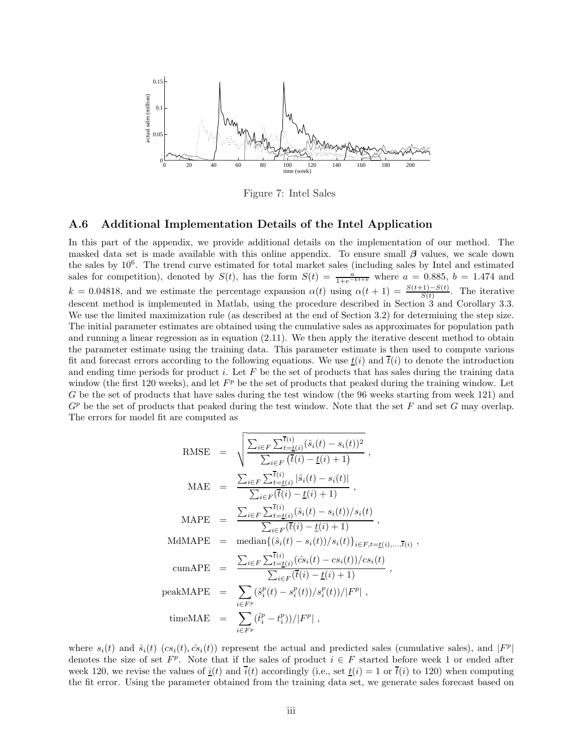

Figure 7: Intel Sales

#### **A.6 Additional Implementation Details of the Intel Application**

In this part of the appendix, we provide additional details on the implementation of our method. The masked data set is made available with this online appendix. To ensure small *β* values, we scale down the sales by  $10<sup>6</sup>$ . The trend curve estimated for total market sales (including sales by Intel and estimated sales for competition), denoted by  $S(t)$ , has the form  $S(t) = \frac{a}{1+e^{-kt+b}}$  where  $a = 0.885$ ,  $b = 1.474$  and  $k = 0.04818$ , and we estimate the percentage expansion  $\alpha(t)$  using  $\alpha(t+1) = \frac{S(t+1)-S(t)}{S(t)}$ . The iterative descent method is implemented in Matlab, using the procedure described in Section 3 and Corollary 3.3. We use the limited maximization rule (as described at the end of Section 3.2) for determining the step size. The initial parameter estimates are obtained using the cumulative sales as approximates for population path and running a linear regression as in equation (2.11). We then apply the iterative descent method to obtain the parameter estimate using the training data. This parameter estimate is then used to compute various fit and forecast errors according to the following equations. We use  $\underline{t}(i)$  and  $\overline{t}(i)$  to denote the introduction and ending time periods for product i. Let  $F$  be the set of products that has sales during the training data window (the first 120 weeks), and let  $F<sup>p</sup>$  be the set of products that peaked during the training window. Let G be the set of products that have sales during the test window (the 96 weeks starting from week 121) and  $G<sup>p</sup>$  be the set of products that peaked during the test window. Note that the set F and set G may overlap. The errors for model fit are computed as

RMSE = 
$$
\sqrt{\frac{\sum_{i \in F} \sum_{t = \underline{t}(i)}^{\overline{t}(i)} (\hat{s}_i(t) - s_i(t))^2}{\sum_{i \in F} (\overline{t}(i) - \underline{t}(i) + 1)}},
$$
  
\nMAE = 
$$
\frac{\sum_{i \in F} \sum_{t = \underline{t}(i)}^{\overline{t}(i)} |\hat{s}_i(t) - s_i(t)|}{\sum_{i \in F} (\overline{t}(i) - \underline{t}(i) + 1)},
$$
  
\nMAPE = 
$$
\frac{\sum_{i \in F} \sum_{t = \underline{t}(i)}^{\overline{t}(i)} (\hat{s}_i(t) - s_i(t))/s_i(t)}{\sum_{i \in F} (\overline{t}(i) - \underline{t}(i) + 1)},
$$
  
\nMdMAPE = median{ $(\hat{s}_i(t) - s_i(t))/s_i(t)$ }<sub>i \in F, t = \underline{t}(i), ..., \overline{t}(i)},  
\ncumAPE = 
$$
\frac{\sum_{i \in F} \sum_{t = \underline{t}(i)}^{\overline{t}(i)} (\hat{cs}_i(t) - cs_i(t))/cs_i(t)}{\sum_{i \in F} (\overline{t}(i) - \underline{t}(i) + 1)},
$$
  
\npeakMAPE = 
$$
\sum_{i \in F^p} (\hat{s}_i^p(t) - s_i^p(t))/s_i^p(t))/|F^p|,
$$
  
\ntimeMAE = 
$$
\sum_{i \in F^p} (\hat{t}_i^p - t_i^p))/|F^p|,
$$</sub>

where  $s_i(t)$  and  $\hat{s}_i(t)$   $(cs_i(t), \hat{cs}_i(t))$  represent the actual and predicted sales (cumulative sales), and  $|F^p|$ denotes the size of set  $F^p$ . Note that if the sales of product  $i \in F$  started before week 1 or ended after week 120, we revise the values of  $\underline{i}(t)$  and  $\overline{i}(t)$  accordingly (i.e., set  $\underline{t}(i) = 1$  or  $\overline{t}(i)$  to 120) when computing the fit error. Using the parameter obtained from the training data set, we generate sales forecast based on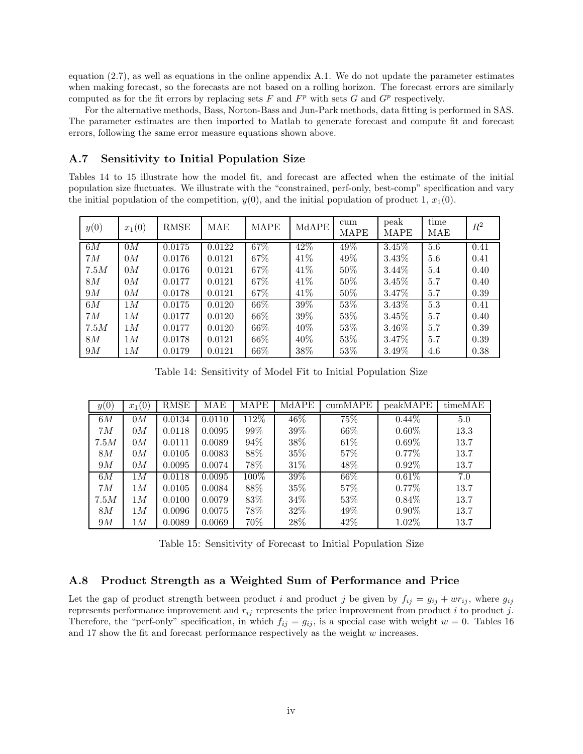equation (2.7), as well as equations in the online appendix A.1. We do not update the parameter estimates when making forecast, so the forecasts are not based on a rolling horizon. The forecast errors are similarly computed as for the fit errors by replacing sets F and  $F<sup>p</sup>$  with sets G and  $G<sup>p</sup>$  respectively.

For the alternative methods, Bass, Norton-Bass and Jun-Park methods, data fitting is performed in SAS. The parameter estimates are then imported to Matlab to generate forecast and compute fit and forecast errors, following the same error measure equations shown above.

## **A.7 Sensitivity to Initial Population Size**

Tables 14 to 15 illustrate how the model fit, and forecast are affected when the estimate of the initial population size fluctuates. We illustrate with the "constrained, perf-only, best-comp" specification and vary the initial population of the competition,  $y(0)$ , and the initial population of product 1,  $x_1(0)$ .

| y(0) | $x_1(0)$ | <b>RMSE</b> | MAE    | <b>MAPE</b> | MdAPE  | cum<br><b>MAPE</b> | peak<br>MAPE | time<br>MAE | $R^2$ |
|------|----------|-------------|--------|-------------|--------|--------------------|--------------|-------------|-------|
| 6M   | 0M       | 0.0175      | 0.0122 | 67%         | 42\%   | 49%                | $3.45\%$     | 5.6         | 0.41  |
| 7M   | 0M       | 0.0176      | 0.0121 | 67%         | $41\%$ | $49\%$             | 3.43%        | 5.6         | 0.41  |
| 7.5M | 0M       | 0.0176      | 0.0121 | 67%         | 41\%   | $50\%$             | 3.44\%       | 5.4         | 0.40  |
| 8M   | 0M       | 0.0177      | 0.0121 | $67\%$      | 41\%   | $50\%$             | $3.45\%$     | 5.7         | 0.40  |
| 9M   | 0M       | 0.0178      | 0.0121 | 67%         | 41\%   | $50\%$             | 3.47%        | 5.7         | 0.39  |
| 6M   | 1M       | 0.0175      | 0.0120 | $66\%$      | 39%    | 53%                | 3.43%        | 5.3         | 0.41  |
| 7M   | 1M       | 0.0177      | 0.0120 | $66\%$      | $39\%$ | $53\%$             | $3.45\%$     | 5.7         | 0.40  |
| 7.5M | 1M       | 0.0177      | 0.0120 | $66\%$      | $40\%$ | $53\%$             | 3.46%        | 5.7         | 0.39  |
| 8M   | 1M       | 0.0178      | 0.0121 | $66\%$      | $40\%$ | $53\%$             | 3.47%        | 5.7         | 0.39  |
| 9M   | 1M       | 0.0179      | 0.0121 | $66\%$      | 38\%   | $53\%$             | 3.49%        | 4.6         | 0.38  |

Table 14: Sensitivity of Model Fit to Initial Population Size

| y(0) | $x_1(0)$ | <b>RMSE</b> | MAE    | MAPE   | MdAPE  | cumMAPE | peakMAPE | timeMAE |
|------|----------|-------------|--------|--------|--------|---------|----------|---------|
| 6M   | 0M       | 0.0134      | 0.0110 | 112\%  | 46%    | 75%     | $0.44\%$ | 5.0     |
| 7M   | 0M       | 0.0118      | 0.0095 | $99\%$ | 39%    | $66\%$  | $0.60\%$ | 13.3    |
| 7.5M | 0M       | 0.0111      | 0.0089 | $94\%$ | 38%    | $61\%$  | $0.69\%$ | 13.7    |
| 8M   | 0M       | 0.0105      | 0.0083 | 88%    | 35%    | $57\%$  | $0.77\%$ | 13.7    |
| 9M   | 0M       | 0.0095      | 0.0074 | 78%    | 31\%   | 48%     | $0.92\%$ | 13.7    |
| 6M   | 1M       | 0.0118      | 0.0095 | 100%   | $39\%$ | $66\%$  | 0.61%    | 7.0     |
| 7M   | 1M       | 0.0105      | 0.0084 | 88%    | 35%    | 57%     | $0.77\%$ | 13.7    |
| 7.5M | 1M       | 0.0100      | 0.0079 | 83\%   | $34\%$ | 53%     | $0.84\%$ | 13.7    |
| 8M   | 1M       | 0.0096      | 0.0075 | 78%    | 32\%   | 49\%    | $0.90\%$ | 13.7    |
| 9M   | 1M       | 0.0089      | 0.0069 | 70%    | 28\%   | 42%     | 1.02%    | 13.7    |

Table 15: Sensitivity of Forecast to Initial Population Size

## **A.8 Product Strength as a Weighted Sum of Performance and Price**

Let the gap of product strength between product i and product j be given by  $f_{ij} = g_{ij} + wr_{ij}$ , where  $g_{ij}$ represents performance improvement and  $r_{ij}$  represents the price improvement from product i to product j. Therefore, the "perf-only" specification, in which  $f_{ij} = g_{ij}$ , is a special case with weight  $w = 0$ . Tables 16 and 17 show the fit and forecast performance respectively as the weight  $w$  increases.